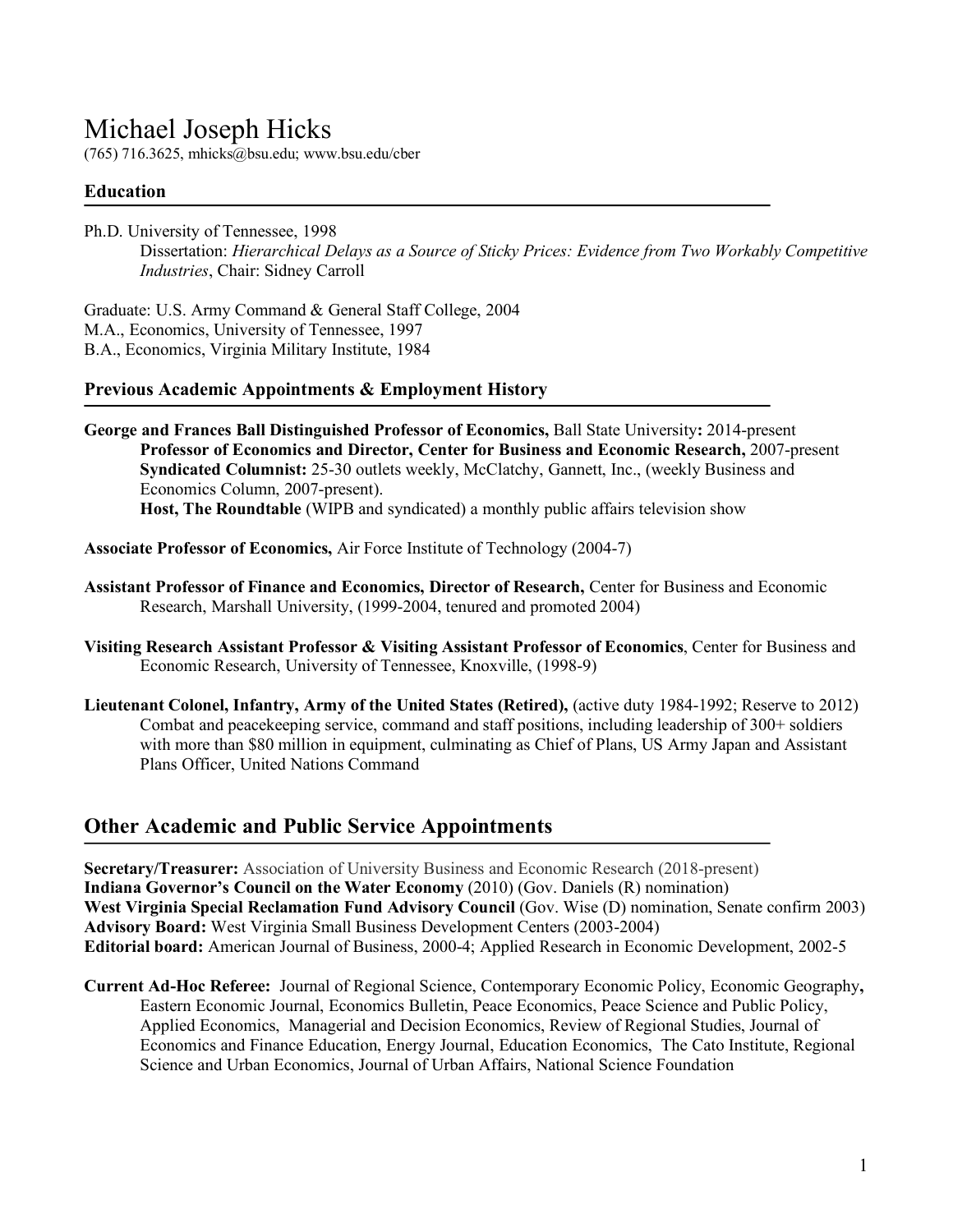# Michael Joseph Hicks

(765) 716.3625, mhicks@bsu.edu; www.bsu.edu/cber

# **Education**

٦

Ph.D. University of Tennessee, 1998 Dissertation: *Hierarchical Delays as a Source of Sticky Prices: Evidence from Two Workably Competitive Industries*, Chair: Sidney Carroll

Graduate: U.S. Army Command & General Staff College, 2004 M.A., Economics, University of Tennessee, 1997 B.A., Economics, Virginia Military Institute, 1984

#### **Previous Academic Appointments & Employment History**

**George and Frances Ball Distinguished Professor of Economics,** Ball State University**:** 2014-present **Professor of Economics and Director, Center for Business and Economic Research,** 2007-present **Syndicated Columnist:** 25-30 outlets weekly, McClatchy, Gannett, Inc., (weekly Business and Economics Column, 2007-present). **Host, The Roundtable** (WIPB and syndicated) a monthly public affairs television show

**Associate Professor of Economics,** Air Force Institute of Technology (2004-7)

- **Assistant Professor of Finance and Economics, Director of Research,** Center for Business and Economic Research, Marshall University, (1999-2004, tenured and promoted 2004)
- **Visiting Research Assistant Professor & Visiting Assistant Professor of Economics**, Center for Business and Economic Research, University of Tennessee, Knoxville, (1998-9)
- **Lieutenant Colonel, Infantry, Army of the United States (Retired),** (active duty 1984-1992; Reserve to 2012) Combat and peacekeeping service, command and staff positions, including leadership of 300+ soldiers with more than \$80 million in equipment, culminating as Chief of Plans, US Army Japan and Assistant Plans Officer, United Nations Command

# **Other Academic and Public Service Appointments**

**Secretary/Treasurer:** Association of University Business and Economic Research (2018-present) **Indiana Governor's Council on the Water Economy** (2010) (Gov. Daniels (R) nomination) **West Virginia Special Reclamation Fund Advisory Council** (Gov. Wise (D) nomination, Senate confirm 2003) **Advisory Board:** West Virginia Small Business Development Centers (2003-2004) **Editorial board:** American Journal of Business, 2000-4; Applied Research in Economic Development, 2002-5

**Current Ad-Hoc Referee:** Journal of Regional Science, Contemporary Economic Policy, Economic Geography**,**  Eastern Economic Journal, Economics Bulletin, Peace Economics, Peace Science and Public Policy, Applied Economics, Managerial and Decision Economics, Review of Regional Studies, Journal of Economics and Finance Education, Energy Journal, Education Economics, The Cato Institute, Regional Science and Urban Economics, Journal of Urban Affairs, National Science Foundation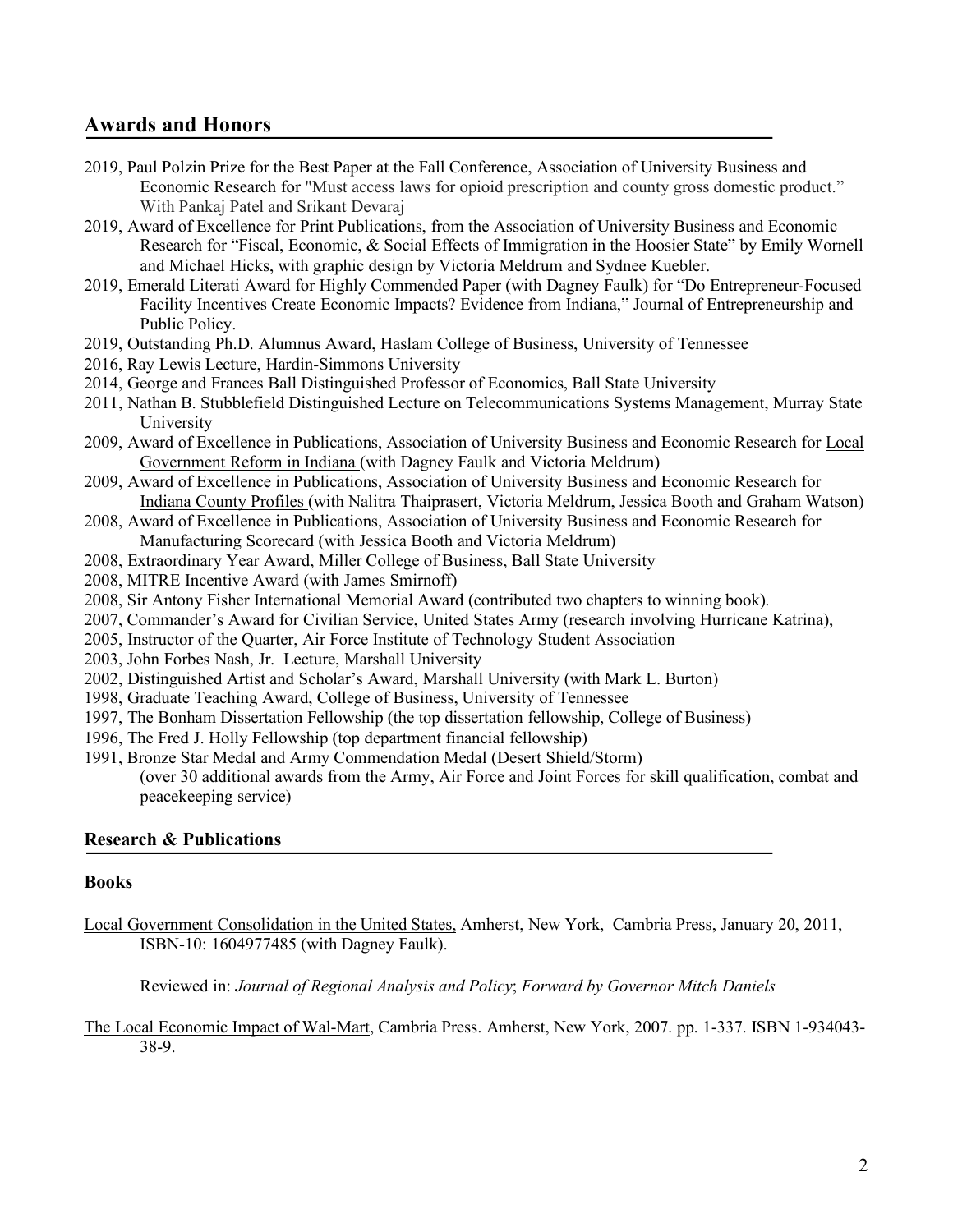# **Awards and Honors**

- 2019, Paul Polzin Prize for the Best Paper at the Fall Conference, Association of University Business and Economic Research for "Must access laws for opioid prescription and county gross domestic product." With Pankaj Patel and Srikant Devaraj
- 2019, Award of Excellence for Print Publications, from the Association of University Business and Economic Research for "Fiscal, Economic, & Social Effects of Immigration in the Hoosier State" by Emily Wornell and Michael Hicks, with graphic design by Victoria Meldrum and Sydnee Kuebler.
- 2019, Emerald Literati Award for Highly Commended Paper (with Dagney Faulk) for "Do Entrepreneur-Focused Facility Incentives Create Economic Impacts? Evidence from Indiana," Journal of Entrepreneurship and Public Policy.
- 2019, Outstanding Ph.D. Alumnus Award, Haslam College of Business, University of Tennessee
- 2016, Ray Lewis Lecture, Hardin-Simmons University
- 2014, George and Frances Ball Distinguished Professor of Economics, Ball State University
- 2011, Nathan B. Stubblefield Distinguished Lecture on Telecommunications Systems Management, Murray State University
- 2009, Award of Excellence in Publications, Association of University Business and Economic Research for Local Government Reform in Indiana (with Dagney Faulk and Victoria Meldrum)
- 2009, Award of Excellence in Publications, Association of University Business and Economic Research for Indiana County Profiles (with Nalitra Thaiprasert, Victoria Meldrum, Jessica Booth and Graham Watson)
- 2008, Award of Excellence in Publications, Association of University Business and Economic Research for Manufacturing Scorecard (with Jessica Booth and Victoria Meldrum)
- 2008, Extraordinary Year Award, Miller College of Business, Ball State University
- 2008, MITRE Incentive Award (with James Smirnoff)
- 2008, Sir Antony Fisher International Memorial Award (contributed two chapters to winning book).
- 2007, Commander's Award for Civilian Service, United States Army (research involving Hurricane Katrina),
- 2005, Instructor of the Quarter, Air Force Institute of Technology Student Association
- 2003, John Forbes Nash, Jr. Lecture, Marshall University
- 2002, Distinguished Artist and Scholar's Award, Marshall University (with Mark L. Burton)
- 1998, Graduate Teaching Award, College of Business, University of Tennessee
- 1997, The Bonham Dissertation Fellowship (the top dissertation fellowship, College of Business)
- 1996, The Fred J. Holly Fellowship (top department financial fellowship)
- 1991, Bronze Star Medal and Army Commendation Medal (Desert Shield/Storm) (over 30 additional awards from the Army, Air Force and Joint Forces for skill qualification, combat and peacekeeping service)

# **Research & Publications**

#### **Books**

Local Government Consolidation in the United States, Amherst, New York, Cambria Press, January 20, 2011, ISBN-10: 1604977485 (with Dagney Faulk).

Reviewed in: *Journal of Regional Analysis and Policy*; *Forward by Governor Mitch Daniels*

The Local Economic Impact of Wal-Mart, Cambria Press. Amherst, New York, 2007. pp. 1-337. ISBN 1-934043- 38-9.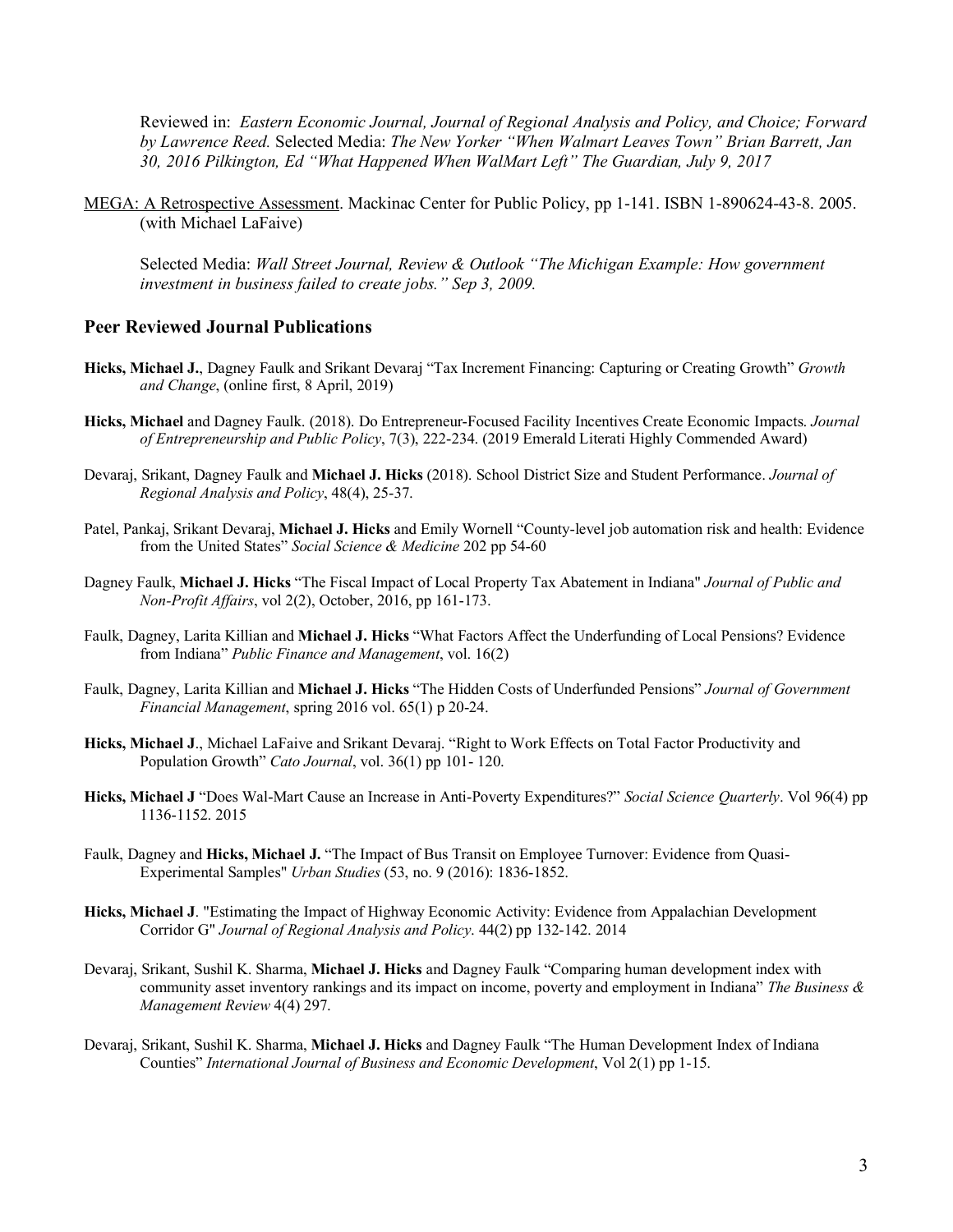Reviewed in: *Eastern Economic Journal, Journal of Regional Analysis and Policy, and Choice; Forward by Lawrence Reed.* Selected Media: *The New Yorker "When Walmart Leaves Town" Brian Barrett, Jan 30, 2016 Pilkington, Ed "What Happened When WalMart Left" The Guardian, July 9, 2017*

MEGA: A Retrospective Assessment. Mackinac Center for Public Policy, pp 1-141. ISBN 1-890624-43-8. 2005. (with Michael LaFaive)

Selected Media: *Wall Street Journal, Review & Outlook "The Michigan Example: How government investment in business failed to create jobs." Sep 3, 2009.*

#### **Peer Reviewed Journal Publications**

- **Hicks, Michael J.**, Dagney Faulk and Srikant Devaraj "Tax Increment Financing: Capturing or Creating Growth" *Growth and Change*, (online first, 8 April, 2019)
- **Hicks, Michael** and Dagney Faulk. (2018). Do Entrepreneur-Focused Facility Incentives Create Economic Impacts. *Journal of Entrepreneurship and Public Policy*, 7(3), 222-234. (2019 Emerald Literati Highly Commended Award)
- Devaraj, Srikant, Dagney Faulk and **Michael J. Hicks** (2018). School District Size and Student Performance. *Journal of Regional Analysis and Policy*, 48(4), 25-37.
- Patel, Pankaj, Srikant Devaraj, **Michael J. Hicks** and Emily Wornell "County-level job automation risk and health: Evidence from the United States" *Social Science & Medicine* 202 pp 54-60
- Dagney Faulk, **Michael J. Hicks** "The Fiscal Impact of Local Property Tax Abatement in Indiana" *Journal of Public and Non-Profit Affairs*, vol 2(2), October, 2016, pp 161-173.
- Faulk, Dagney, Larita Killian and **Michael J. Hicks** "What Factors Affect the Underfunding of Local Pensions? Evidence from Indiana" *Public Finance and Management*, vol. 16(2)
- Faulk, Dagney, Larita Killian and **Michael J. Hicks** "The Hidden Costs of Underfunded Pensions" *Journal of Government Financial Management*, spring 2016 vol. 65(1) p 20-24.
- **Hicks, Michael J**., Michael LaFaive and Srikant Devaraj. "Right to Work Effects on Total Factor Productivity and Population Growth" *Cato Journal*, vol. 36(1) pp 101- 120.
- **Hicks, Michael J** "Does Wal-Mart Cause an Increase in Anti-Poverty Expenditures?" *Social Science Quarterly*. Vol 96(4) pp 1136-1152. 2015
- Faulk, Dagney and **Hicks, Michael J.** "The Impact of Bus Transit on Employee Turnover: Evidence from Quasi-Experimental Samples" *Urban Studies* (53, no. 9 (2016): 1836-1852.
- **Hicks, Michael J**. "Estimating the Impact of Highway Economic Activity: Evidence from Appalachian Development Corridor G" *Journal of Regional Analysis and Policy*. 44(2) pp 132-142. 2014
- Devaraj, Srikant, Sushil K. Sharma, **Michael J. Hicks** and Dagney Faulk "Comparing human development index with community asset inventory rankings and its impact on income, poverty and employment in Indiana" *The Business & Management Review* 4(4) 297.
- Devaraj, Srikant, Sushil K. Sharma, **Michael J. Hicks** and Dagney Faulk "The Human Development Index of Indiana Counties" *International Journal of Business and Economic Development*, Vol 2(1) pp 1-15.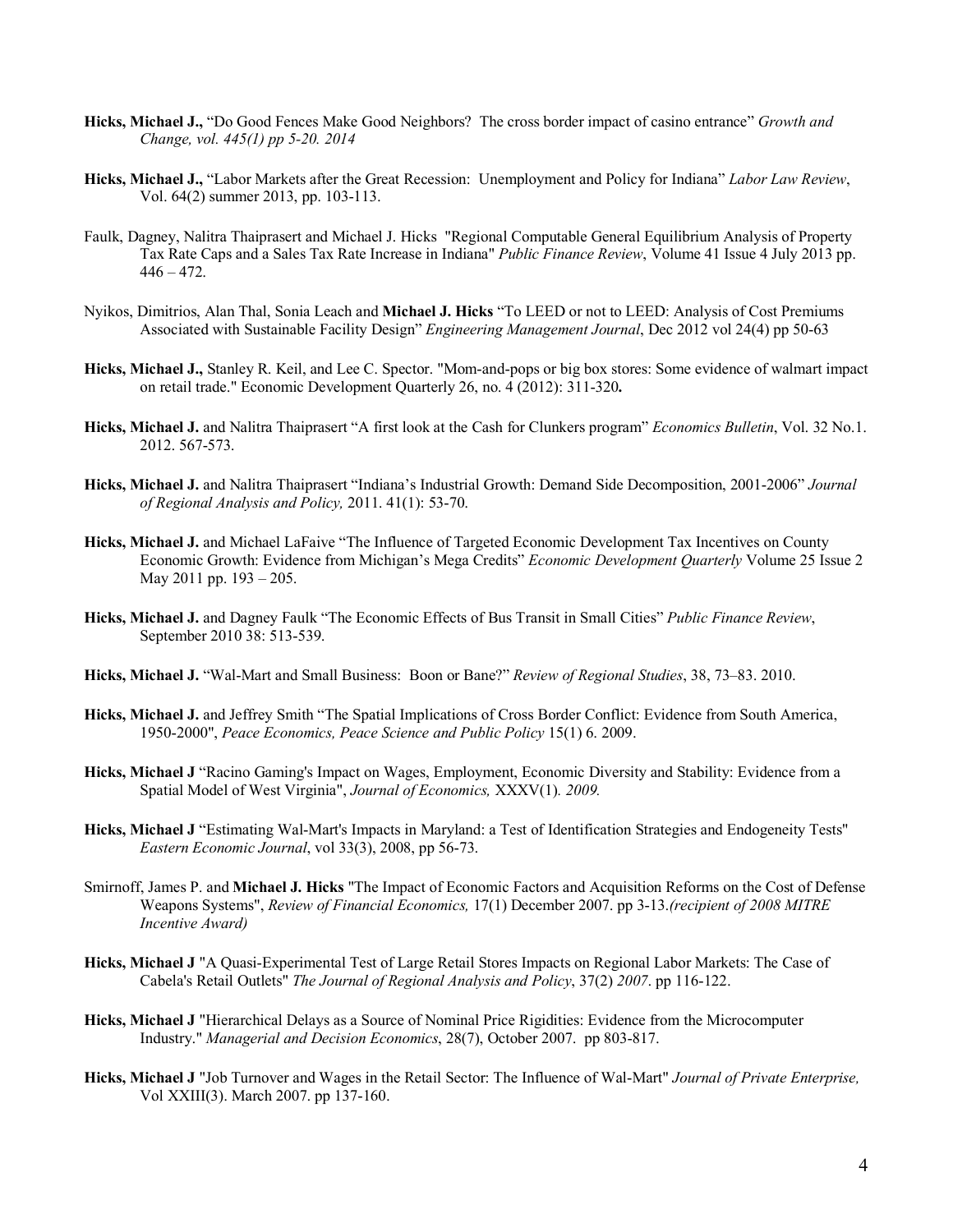- **Hicks, Michael J.,** "Do Good Fences Make Good Neighbors? The cross border impact of casino entrance" *Growth and Change, vol. 445(1) pp 5-20. 2014*
- **Hicks, Michael J.,** "Labor Markets after the Great Recession: Unemployment and Policy for Indiana" *Labor Law Review*, Vol. 64(2) summer 2013, pp. 103-113.
- Faulk, Dagney, Nalitra Thaiprasert and Michael J. Hicks "Regional Computable General Equilibrium Analysis of Property Tax Rate Caps and a Sales Tax Rate Increase in Indiana" *Public Finance Review*, Volume 41 Issue 4 July 2013 pp.  $446 - 472.$
- Nyikos, Dimitrios, Alan Thal, Sonia Leach and **Michael J. Hicks** "To LEED or not to LEED: Analysis of Cost Premiums Associated with Sustainable Facility Design" *Engineering Management Journal*, Dec 2012 vol 24(4) pp 50-63
- **Hicks, Michael J.,** Stanley R. Keil, and Lee C. Spector. "Mom-and-pops or big box stores: Some evidence of walmart impact on retail trade." Economic Development Quarterly 26, no. 4 (2012): 311-320**.**
- **Hicks, Michael J.** and Nalitra Thaiprasert "A first look at the Cash for Clunkers program" *Economics Bulletin*, Vol. 32 No.1. 2012. 567-573.
- **Hicks, Michael J.** and Nalitra Thaiprasert "Indiana's Industrial Growth: Demand Side Decomposition, 2001-2006" *Journal of Regional Analysis and Policy,* 2011. 41(1): 53-70.
- **Hicks, Michael J.** and Michael LaFaive "The Influence of Targeted Economic Development Tax Incentives on County Economic Growth: Evidence from Michigan's Mega Credits" *Economic Development Quarterly* Volume 25 Issue 2 May 2011 pp. 193 – 205.
- **Hicks, Michael J.** and Dagney Faulk "The Economic Effects of Bus Transit in Small Cities" *Public Finance Review*, September 2010 38: 513-539.
- **Hicks, Michael J.** "Wal-Mart and Small Business: Boon or Bane?" *Review of Regional Studies*, 38, 73–83. 2010.
- **Hicks, Michael J.** and Jeffrey Smith "The Spatial Implications of Cross Border Conflict: Evidence from South America, 1950-2000", *Peace Economics, Peace Science and Public Policy* 15(1) 6. 2009.
- **Hicks, Michael J** "Racino Gaming's Impact on Wages, Employment, Economic Diversity and Stability: Evidence from a Spatial Model of West Virginia", *Journal of Economics,* XXXV(1)*. 2009.*
- **Hicks, Michael J** "Estimating Wal-Mart's Impacts in Maryland: a Test of Identification Strategies and Endogeneity Tests" *Eastern Economic Journal*, vol 33(3), 2008, pp 56-73.
- Smirnoff, James P. and **Michael J. Hicks** "The Impact of Economic Factors and Acquisition Reforms on the Cost of Defense Weapons Systems", *Review of Financial Economics,* 17(1) December 2007. pp 3-13.*(recipient of 2008 MITRE Incentive Award)*
- **Hicks, Michael J** "A Quasi-Experimental Test of Large Retail Stores Impacts on Regional Labor Markets: The Case of Cabela's Retail Outlets" *The Journal of Regional Analysis and Policy*, 37(2) *2007*. pp 116-122.
- **Hicks, Michael J** "Hierarchical Delays as a Source of Nominal Price Rigidities: Evidence from the Microcomputer Industry." *Managerial and Decision Economics*, 28(7), October 2007. pp 803-817.
- **Hicks, Michael J** "Job Turnover and Wages in the Retail Sector: The Influence of Wal-Mart" *Journal of Private Enterprise,* Vol XXIII(3). March 2007. pp 137-160.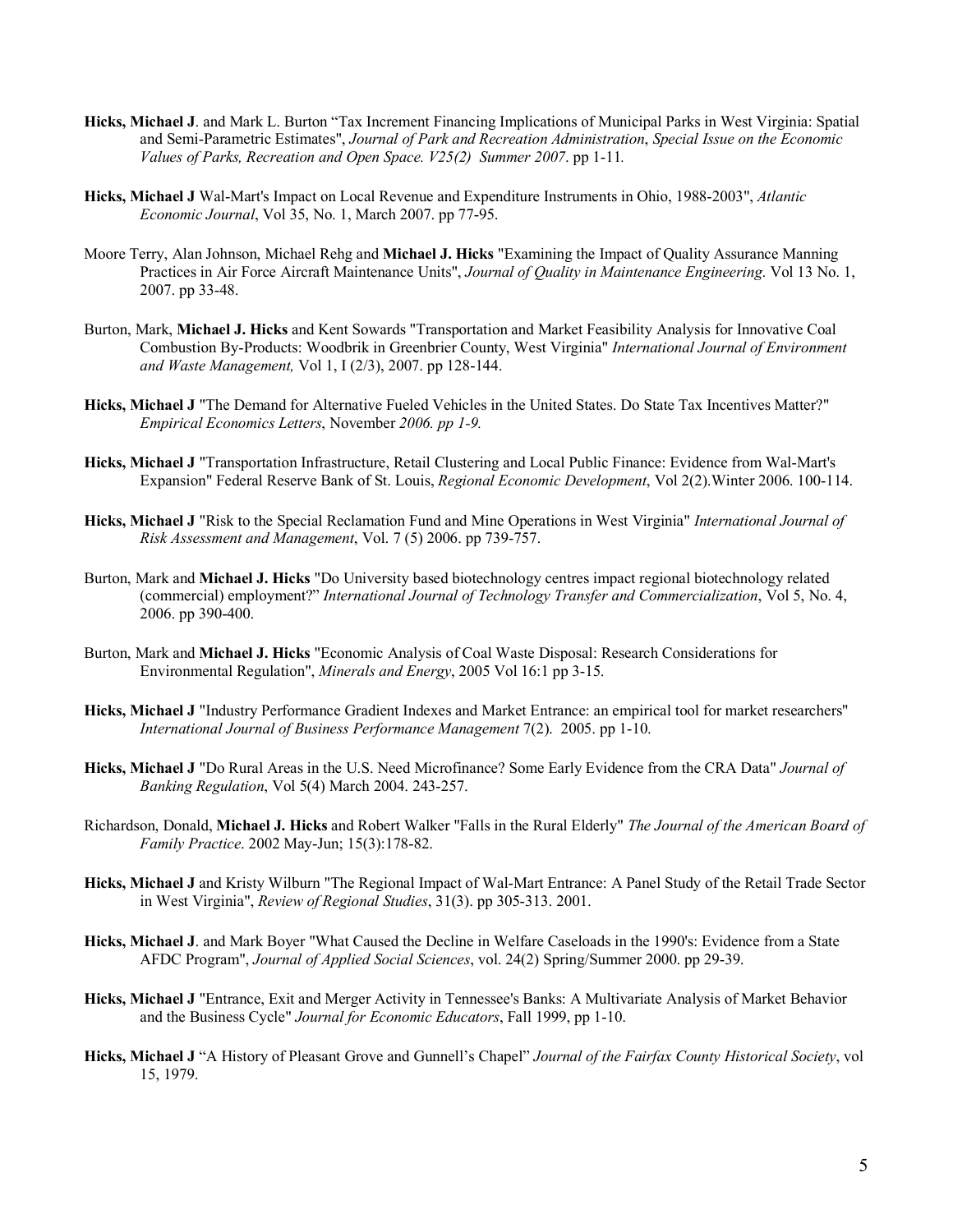- **Hicks, Michael J**. and Mark L. Burton "Tax Increment Financing Implications of Municipal Parks in West Virginia: Spatial and Semi-Parametric Estimates", *Journal of Park and Recreation Administration*, *Special Issue on the Economic Values of Parks, Recreation and Open Space. V25(2) Summer 2007*. pp 1-11*.*
- **Hicks, Michael J** Wal-Mart's Impact on Local Revenue and Expenditure Instruments in Ohio, 1988-2003", *Atlantic Economic Journal*, Vol 35, No. 1, March 2007. pp 77-95.
- Moore Terry, Alan Johnson, Michael Rehg and **Michael J. Hicks** "Examining the Impact of Quality Assurance Manning Practices in Air Force Aircraft Maintenance Units", *Journal of Quality in Maintenance Engineering*. Vol 13 No. 1, 2007. pp 33-48.
- Burton, Mark, **Michael J. Hicks** and Kent Sowards "Transportation and Market Feasibility Analysis for Innovative Coal Combustion By-Products: Woodbrik in Greenbrier County, West Virginia" *International Journal of Environment and Waste Management,* Vol 1, I (2/3), 2007. pp 128-144.
- **Hicks, Michael J** "The Demand for Alternative Fueled Vehicles in the United States. Do State Tax Incentives Matter?" *Empirical Economics Letters*, November *2006. pp 1-9.*
- **Hicks, Michael J** "Transportation Infrastructure, Retail Clustering and Local Public Finance: Evidence from Wal-Mart's Expansion" Federal Reserve Bank of St. Louis, *Regional Economic Development*, Vol 2(2).Winter 2006. 100-114.
- **Hicks, Michael J** "Risk to the Special Reclamation Fund and Mine Operations in West Virginia" *International Journal of Risk Assessment and Management*, Vol. 7 (5) 2006. pp 739-757.
- Burton, Mark and **Michael J. Hicks** "Do University based biotechnology centres impact regional biotechnology related (commercial) employment?" *International Journal of Technology Transfer and Commercialization*, Vol 5, No. 4, 2006. pp 390-400.
- Burton, Mark and **Michael J. Hicks** "Economic Analysis of Coal Waste Disposal: Research Considerations for Environmental Regulation", *Minerals and Energy*, 2005 Vol 16:1 pp 3-15.
- **Hicks, Michael J** "Industry Performance Gradient Indexes and Market Entrance: an empirical tool for market researchers" *International Journal of Business Performance Management* 7(2). 2005. pp 1-10.
- **Hicks, Michael J** "Do Rural Areas in the U.S. Need Microfinance? Some Early Evidence from the CRA Data" *Journal of Banking Regulation*, Vol 5(4) March 2004. 243-257.
- Richardson, Donald, **Michael J. Hicks** and Robert Walker "Falls in the Rural Elderly" *The Journal of the American Board of Family Practice*. 2002 May-Jun; 15(3):178-82.
- **Hicks, Michael J** and Kristy Wilburn "The Regional Impact of Wal-Mart Entrance: A Panel Study of the Retail Trade Sector in West Virginia", *Review of Regional Studies*, 31(3). pp 305-313. 2001.
- **Hicks, Michael J**. and Mark Boyer "What Caused the Decline in Welfare Caseloads in the 1990's: Evidence from a State AFDC Program", *Journal of Applied Social Sciences*, vol. 24(2) Spring/Summer 2000. pp 29-39.
- **Hicks, Michael J** "Entrance, Exit and Merger Activity in Tennessee's Banks: A Multivariate Analysis of Market Behavior and the Business Cycle" *Journal for Economic Educators*, Fall 1999, pp 1-10.
- **Hicks, Michael J** "A History of Pleasant Grove and Gunnell's Chapel" *Journal of the Fairfax County Historical Society*, vol 15, 1979.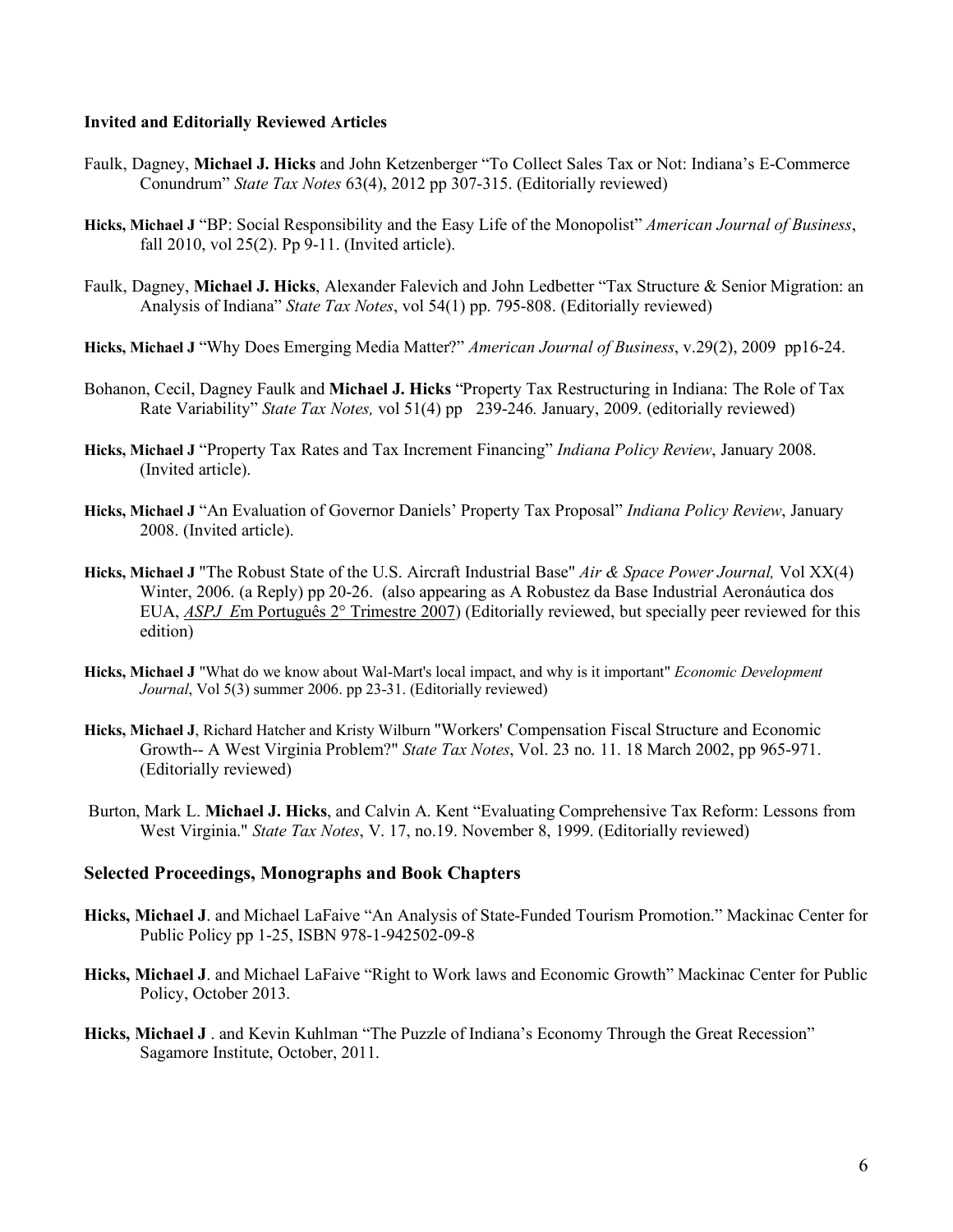#### **Invited and Editorially Reviewed Articles**

- Faulk, Dagney, **Michael J. Hicks** and John Ketzenberger "To Collect Sales Tax or Not: Indiana's E-Commerce Conundrum" *State Tax Notes* 63(4), 2012 pp 307-315. (Editorially reviewed)
- **Hicks, Michael J** "BP: Social Responsibility and the Easy Life of the Monopolist" *American Journal of Business*, fall 2010, vol 25(2). Pp 9-11. (Invited article).
- Faulk, Dagney, **Michael J. Hicks**, Alexander Falevich and John Ledbetter "Tax Structure & Senior Migration: an Analysis of Indiana" *State Tax Notes*, vol 54(1) pp. 795-808. (Editorially reviewed)
- **Hicks, Michael J** "Why Does Emerging Media Matter?" *American Journal of Business*, v.29(2), 2009 pp16-24.
- Bohanon, Cecil, Dagney Faulk and **Michael J. Hicks** "Property Tax Restructuring in Indiana: The Role of Tax Rate Variability" *State Tax Notes,* vol 51(4) pp 239-246*.* January, 2009. (editorially reviewed)
- **Hicks, Michael J** "Property Tax Rates and Tax Increment Financing" *Indiana Policy Review*, January 2008. (Invited article).
- **Hicks, Michael J** "An Evaluation of Governor Daniels' Property Tax Proposal" *Indiana Policy Review*, January 2008. (Invited article).
- **Hicks, Michael J** "The Robust State of the U.S. Aircraft Industrial Base" *Air & Space Power Journal,* Vol XX(4) Winter, 2006. (a Reply) pp 20-26. (also appearing as A Robustez da Base Industrial Aeronáutica dos EUA, *ASPJ E*m Português 2° Trimestre 2007) (Editorially reviewed, but specially peer reviewed for this edition)
- **Hicks, Michael J** "What do we know about Wal-Mart's local impact, and why is it important" *Economic Development Journal*, Vol 5(3) summer 2006. pp 23-31. (Editorially reviewed)
- **Hicks, Michael J**, Richard Hatcher and Kristy Wilburn "Workers' Compensation Fiscal Structure and Economic Growth-- A West Virginia Problem?" *State Tax Notes*, Vol. 23 no. 11. 18 March 2002, pp 965-971. (Editorially reviewed)
- Burton, Mark L. **Michael J. Hicks**, and Calvin A. Kent "Evaluating Comprehensive Tax Reform: Lessons from West Virginia." *State Tax Notes*, V. 17, no.19. November 8, 1999. (Editorially reviewed)

#### **Selected Proceedings, Monographs and Book Chapters**

- **Hicks, Michael J**. and Michael LaFaive "An Analysis of State-Funded Tourism Promotion." Mackinac Center for Public Policy pp 1-25, ISBN 978-1-942502-09-8
- **Hicks, Michael J**. and Michael LaFaive "Right to Work laws and Economic Growth" Mackinac Center for Public Policy, October 2013.
- **Hicks, Michael J** . and Kevin Kuhlman "The Puzzle of Indiana's Economy Through the Great Recession" Sagamore Institute, October, 2011.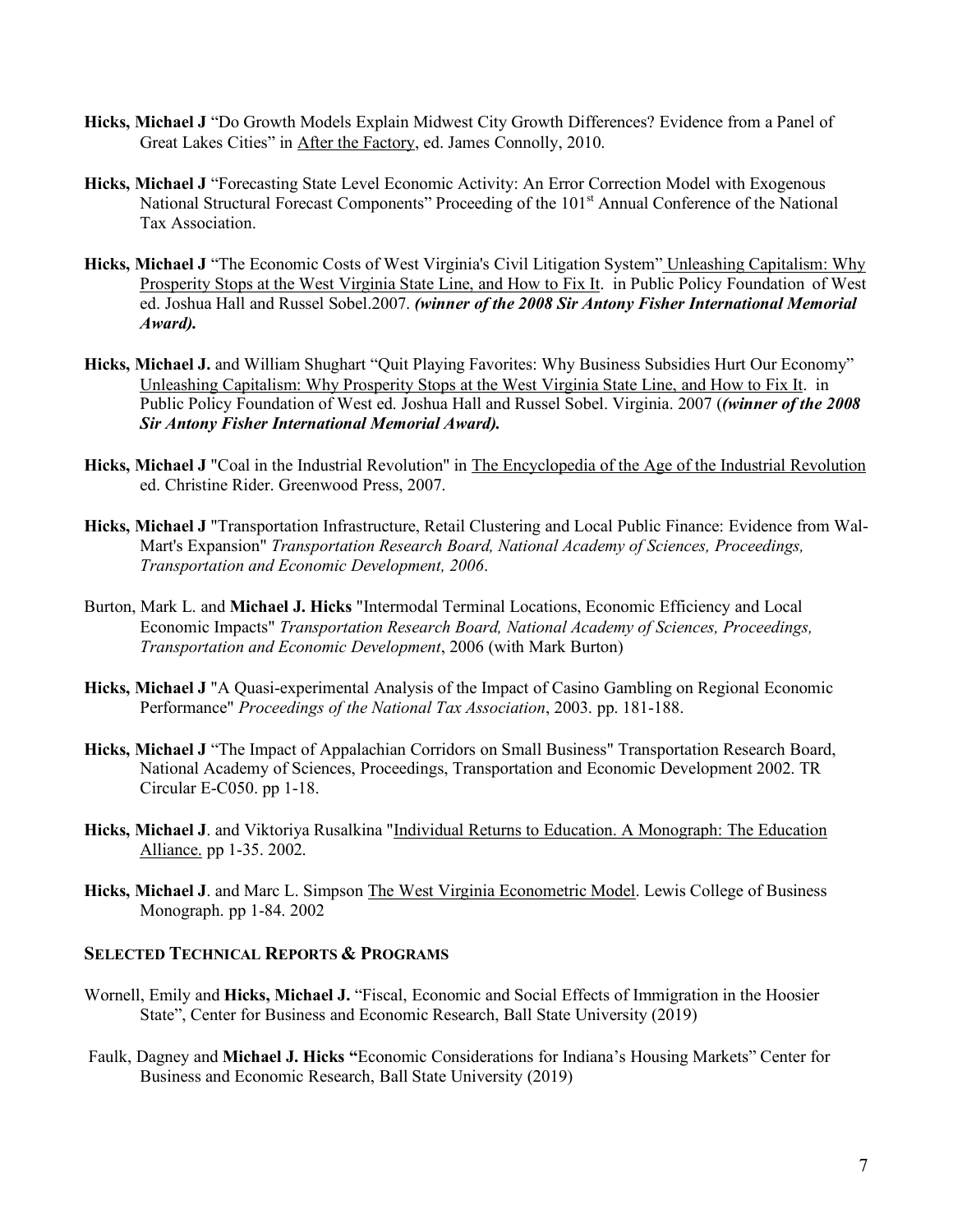- **Hicks, Michael J** "Do Growth Models Explain Midwest City Growth Differences? Evidence from a Panel of Great Lakes Cities" in After the Factory, ed. James Connolly, 2010.
- **Hicks, Michael J** "Forecasting State Level Economic Activity: An Error Correction Model with Exogenous National Structural Forecast Components" Proceeding of the 101<sup>st</sup> Annual Conference of the National Tax Association.
- **Hicks, Michael J** "The Economic Costs of West Virginia's Civil Litigation System" Unleashing Capitalism: Why Prosperity Stops at the West Virginia State Line, and How to Fix It. in Public Policy Foundation of West ed. Joshua Hall and Russel Sobel.2007. *(winner of the 2008 Sir Antony Fisher International Memorial Award).*
- **Hicks, Michael J.** and William Shughart "Quit Playing Favorites: Why Business Subsidies Hurt Our Economy" Unleashing Capitalism: Why Prosperity Stops at the West Virginia State Line, and How to Fix It. in Public Policy Foundation of West ed. Joshua Hall and Russel Sobel. Virginia. 2007 (*(winner of the 2008 Sir Antony Fisher International Memorial Award).*
- **Hicks, Michael J** "Coal in the Industrial Revolution" in The Encyclopedia of the Age of the Industrial Revolution ed. Christine Rider. Greenwood Press, 2007.
- **Hicks, Michael J** "Transportation Infrastructure, Retail Clustering and Local Public Finance: Evidence from Wal-Mart's Expansion" *Transportation Research Board, National Academy of Sciences, Proceedings, Transportation and Economic Development, 2006*.
- Burton, Mark L. and **Michael J. Hicks** "Intermodal Terminal Locations, Economic Efficiency and Local Economic Impacts" *Transportation Research Board, National Academy of Sciences, Proceedings, Transportation and Economic Development*, 2006 (with Mark Burton)
- **Hicks, Michael J** "A Quasi-experimental Analysis of the Impact of Casino Gambling on Regional Economic Performance" *Proceedings of the National Tax Association*, 2003. pp. 181-188.
- **Hicks, Michael J** "The Impact of Appalachian Corridors on Small Business" Transportation Research Board, National Academy of Sciences, Proceedings, Transportation and Economic Development 2002. TR Circular E-C050. pp 1-18.
- **Hicks, Michael J**. and Viktoriya Rusalkina "Individual Returns to Education. A Monograph: The Education Alliance. pp 1-35. 2002.
- **Hicks, Michael J**. and Marc L. Simpson The West Virginia Econometric Model. Lewis College of Business Monograph. pp 1-84. 2002

#### **SELECTED TECHNICAL REPORTS & PROGRAMS**

- Wornell, Emily and **Hicks, Michael J.** "Fiscal, Economic and Social Effects of Immigration in the Hoosier State", Center for Business and Economic Research, Ball State University (2019)
- Faulk, Dagney and **Michael J. Hicks "**Economic Considerations for Indiana's Housing Markets" Center for Business and Economic Research, Ball State University (2019)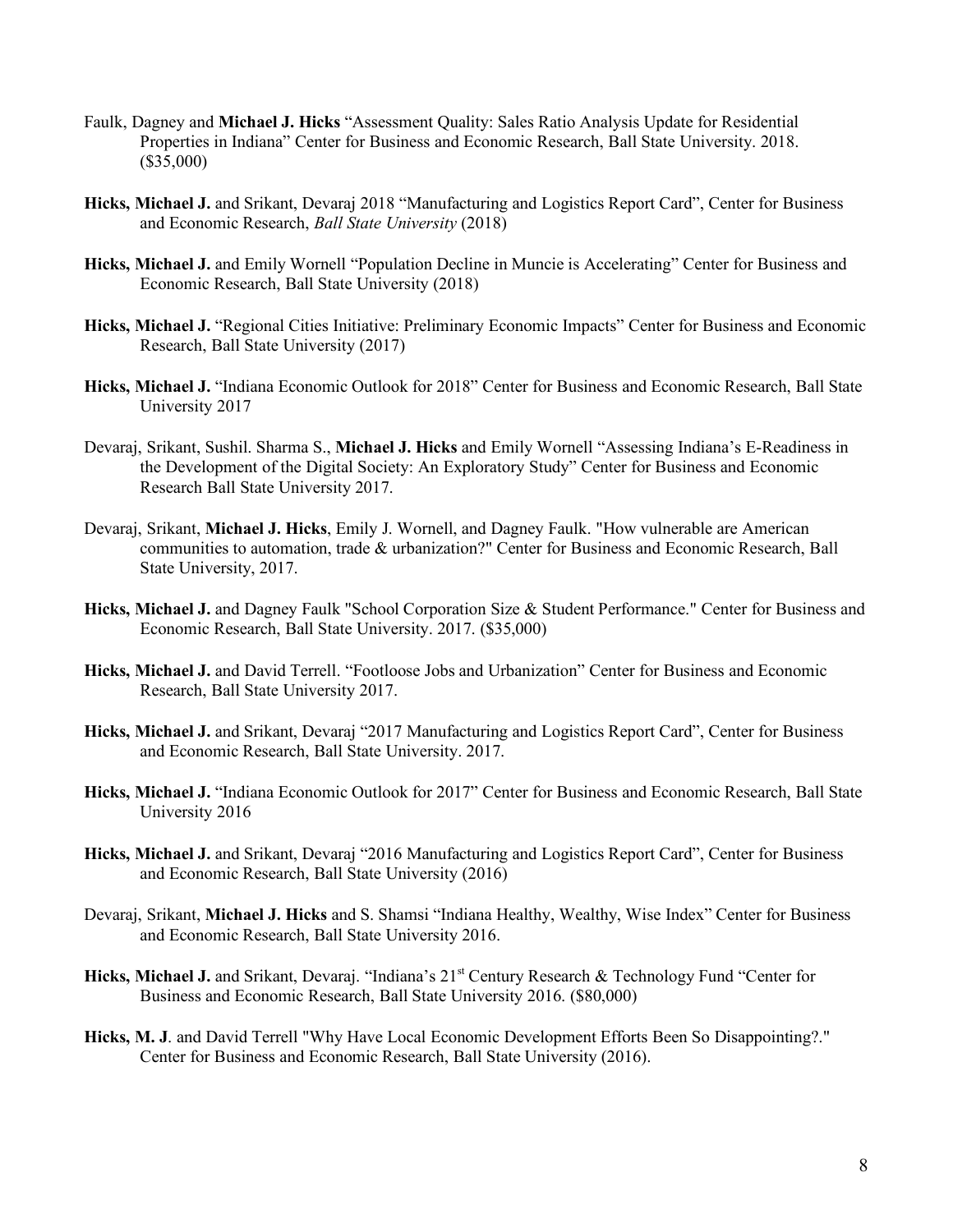- Faulk, Dagney and **Michael J. Hicks** "Assessment Quality: Sales Ratio Analysis Update for Residential Properties in Indiana" Center for Business and Economic Research, Ball State University. 2018. (\$35,000)
- **Hicks, Michael J.** and Srikant, Devaraj 2018 "Manufacturing and Logistics Report Card", Center for Business and Economic Research, *Ball State University* (2018)
- **Hicks, Michael J.** and Emily Wornell "Population Decline in Muncie is Accelerating" Center for Business and Economic Research, Ball State University (2018)
- **Hicks, Michael J.** "Regional Cities Initiative: Preliminary Economic Impacts" Center for Business and Economic Research, Ball State University (2017)
- **Hicks, Michael J.** "Indiana Economic Outlook for 2018" Center for Business and Economic Research, Ball State University 2017
- Devaraj, Srikant, Sushil. Sharma S., **Michael J. Hicks** and Emily Wornell "Assessing Indiana's E-Readiness in the Development of the Digital Society: An Exploratory Study" Center for Business and Economic Research Ball State University 2017.
- Devaraj, Srikant, **Michael J. Hicks**, Emily J. Wornell, and Dagney Faulk. "How vulnerable are American communities to automation, trade & urbanization?" Center for Business and Economic Research, Ball State University, 2017.
- **Hicks, Michael J.** and Dagney Faulk "School Corporation Size & Student Performance." Center for Business and Economic Research, Ball State University. 2017. (\$35,000)
- **Hicks, Michael J.** and David Terrell. "Footloose Jobs and Urbanization" Center for Business and Economic Research, Ball State University 2017.
- **Hicks, Michael J.** and Srikant, Devaraj "2017 Manufacturing and Logistics Report Card", Center for Business and Economic Research, Ball State University. 2017.
- **Hicks, Michael J.** "Indiana Economic Outlook for 2017" Center for Business and Economic Research, Ball State University 2016
- **Hicks, Michael J.** and Srikant, Devaraj "2016 Manufacturing and Logistics Report Card", Center for Business and Economic Research, Ball State University (2016)
- Devaraj, Srikant, **Michael J. Hicks** and S. Shamsi "Indiana Healthy, Wealthy, Wise Index" Center for Business and Economic Research, Ball State University 2016.
- Hicks, Michael J. and Srikant, Devaraj. "Indiana's 21<sup>st</sup> Century Research & Technology Fund "Center for Business and Economic Research, Ball State University 2016. (\$80,000)
- **Hicks, M. J**. and David Terrell "Why Have Local Economic Development Efforts Been So Disappointing?." Center for Business and Economic Research, Ball State University (2016).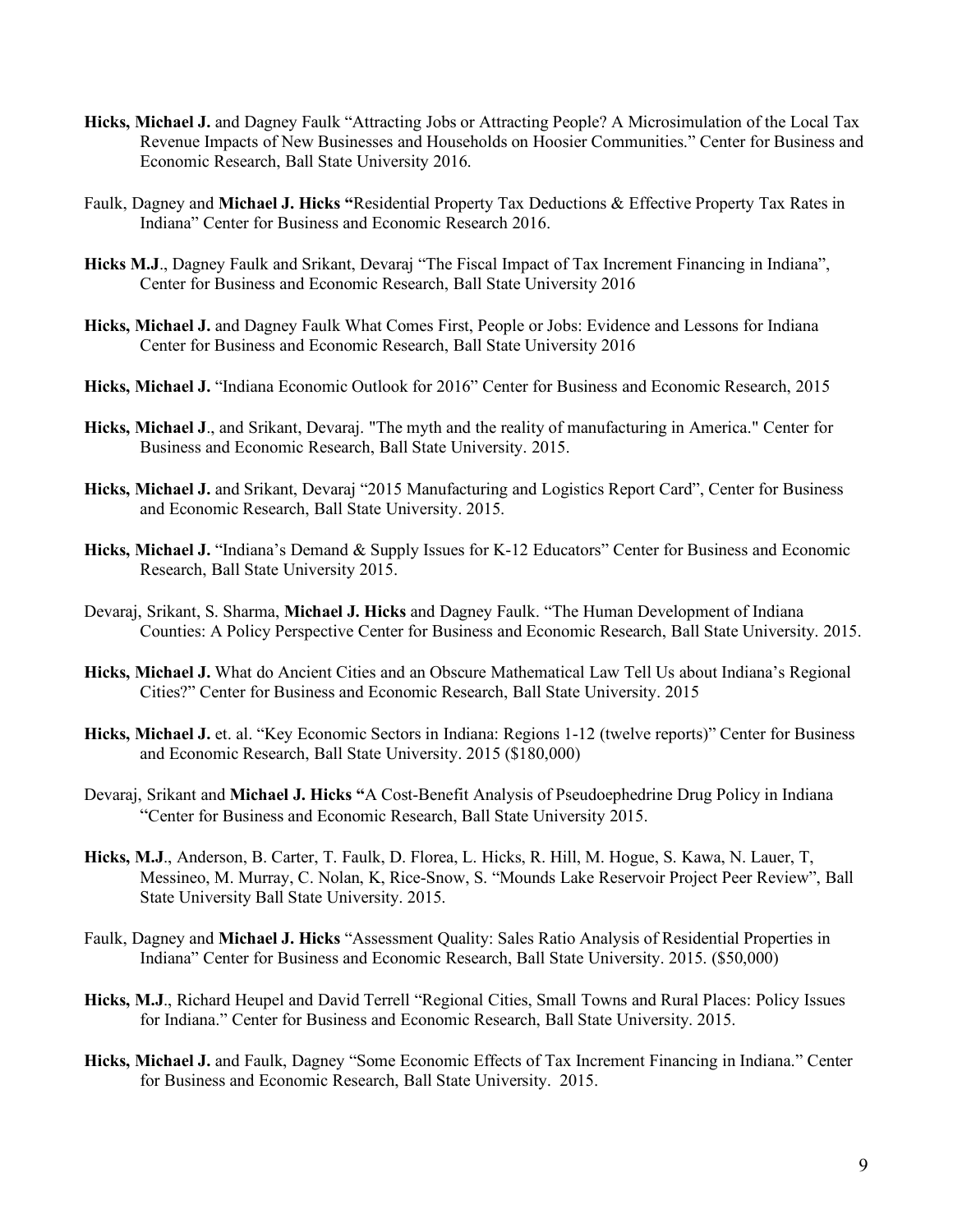- **Hicks, Michael J.** and Dagney Faulk "Attracting Jobs or Attracting People? A Microsimulation of the Local Tax Revenue Impacts of New Businesses and Households on Hoosier Communities." Center for Business and Economic Research, Ball State University 2016.
- Faulk, Dagney and **Michael J. Hicks "**Residential Property Tax Deductions & Effective Property Tax Rates in Indiana" Center for Business and Economic Research 2016.
- **Hicks M.J**., Dagney Faulk and Srikant, Devaraj "The Fiscal Impact of Tax Increment Financing in Indiana", Center for Business and Economic Research, Ball State University 2016
- **Hicks, Michael J.** and Dagney Faulk What Comes First, People or Jobs: Evidence and Lessons for Indiana Center for Business and Economic Research, Ball State University 2016
- **Hicks, Michael J.** "Indiana Economic Outlook for 2016" Center for Business and Economic Research, 2015
- **Hicks, Michael J**., and Srikant, Devaraj. "The myth and the reality of manufacturing in America." Center for Business and Economic Research, Ball State University. 2015.
- **Hicks, Michael J.** and Srikant, Devaraj "2015 Manufacturing and Logistics Report Card", Center for Business and Economic Research, Ball State University. 2015.
- **Hicks, Michael J.** "Indiana's Demand & Supply Issues for K-12 Educators" Center for Business and Economic Research, Ball State University 2015.
- Devaraj, Srikant, S. Sharma, **Michael J. Hicks** and Dagney Faulk. "The Human Development of Indiana Counties: A Policy Perspective Center for Business and Economic Research, Ball State University. 2015.
- **Hicks, Michael J.** What do Ancient Cities and an Obscure Mathematical Law Tell Us about Indiana's Regional Cities?" Center for Business and Economic Research, Ball State University. 2015
- **Hicks, Michael J.** et. al. "Key Economic Sectors in Indiana: Regions 1-12 (twelve reports)" Center for Business and Economic Research, Ball State University. 2015 (\$180,000)
- Devaraj, Srikant and **Michael J. Hicks "**A Cost-Benefit Analysis of Pseudoephedrine Drug Policy in Indiana "Center for Business and Economic Research, Ball State University 2015.
- **Hicks, M.J**., Anderson, B. Carter, T. Faulk, D. Florea, L. Hicks, R. Hill, M. Hogue, S. Kawa, N. Lauer, T, Messineo, M. Murray, C. Nolan, K, Rice-Snow, S. "Mounds Lake Reservoir Project Peer Review", Ball State University Ball State University. 2015.
- Faulk, Dagney and **Michael J. Hicks** "Assessment Quality: Sales Ratio Analysis of Residential Properties in Indiana" Center for Business and Economic Research, Ball State University. 2015. (\$50,000)
- **Hicks, M.J**., Richard Heupel and David Terrell "Regional Cities, Small Towns and Rural Places: Policy Issues for Indiana." Center for Business and Economic Research, Ball State University. 2015.
- **Hicks, Michael J.** and Faulk, Dagney "Some Economic Effects of Tax Increment Financing in Indiana." Center for Business and Economic Research, Ball State University. 2015.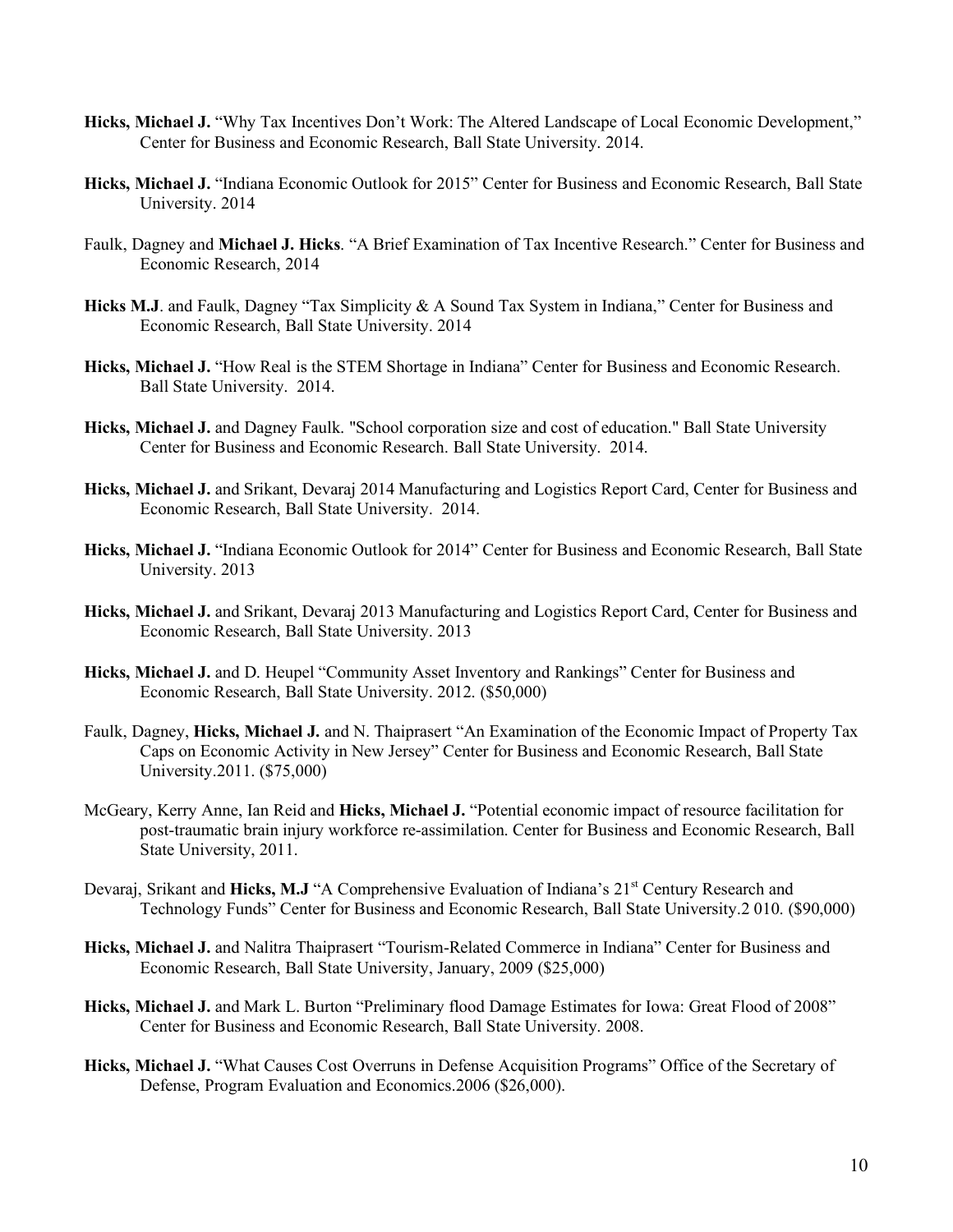- **Hicks, Michael J.** "Why Tax Incentives Don't Work: The Altered Landscape of Local Economic Development," Center for Business and Economic Research, Ball State University. 2014.
- **Hicks, Michael J.** "Indiana Economic Outlook for 2015" Center for Business and Economic Research, Ball State University. 2014
- Faulk, Dagney and **Michael J. Hicks**. "A Brief Examination of Tax Incentive Research." Center for Business and Economic Research, 2014
- Hicks M.J. and Faulk, Dagney "Tax Simplicity & A Sound Tax System in Indiana," Center for Business and Economic Research, Ball State University. 2014
- **Hicks, Michael J.** "How Real is the STEM Shortage in Indiana" Center for Business and Economic Research. Ball State University. 2014.
- **Hicks, Michael J.** and Dagney Faulk. "School corporation size and cost of education." Ball State University Center for Business and Economic Research. Ball State University. 2014.
- **Hicks, Michael J.** and Srikant, Devaraj 2014 Manufacturing and Logistics Report Card, Center for Business and Economic Research, Ball State University. 2014.
- **Hicks, Michael J.** "Indiana Economic Outlook for 2014" Center for Business and Economic Research, Ball State University. 2013
- **Hicks, Michael J.** and Srikant, Devaraj 2013 Manufacturing and Logistics Report Card, Center for Business and Economic Research, Ball State University. 2013
- **Hicks, Michael J.** and D. Heupel "Community Asset Inventory and Rankings" Center for Business and Economic Research, Ball State University. 2012. (\$50,000)
- Faulk, Dagney, **Hicks, Michael J.** and N. Thaiprasert "An Examination of the Economic Impact of Property Tax Caps on Economic Activity in New Jersey" Center for Business and Economic Research, Ball State University.2011. (\$75,000)
- McGeary, Kerry Anne, Ian Reid and **Hicks, Michael J.** "Potential economic impact of resource facilitation for post-traumatic brain injury workforce re-assimilation. Center for Business and Economic Research, Ball State University, 2011.
- Devaraj, Srikant and Hicks, M.J "A Comprehensive Evaluation of Indiana's 21<sup>st</sup> Century Research and Technology Funds" Center for Business and Economic Research, Ball State University.2 010. (\$90,000)
- **Hicks, Michael J.** and Nalitra Thaiprasert "Tourism-Related Commerce in Indiana" Center for Business and Economic Research, Ball State University, January, 2009 (\$25,000)
- **Hicks, Michael J.** and Mark L. Burton "Preliminary flood Damage Estimates for Iowa: Great Flood of 2008" Center for Business and Economic Research, Ball State University. 2008.
- **Hicks, Michael J.** "What Causes Cost Overruns in Defense Acquisition Programs" Office of the Secretary of Defense, Program Evaluation and Economics.2006 (\$26,000).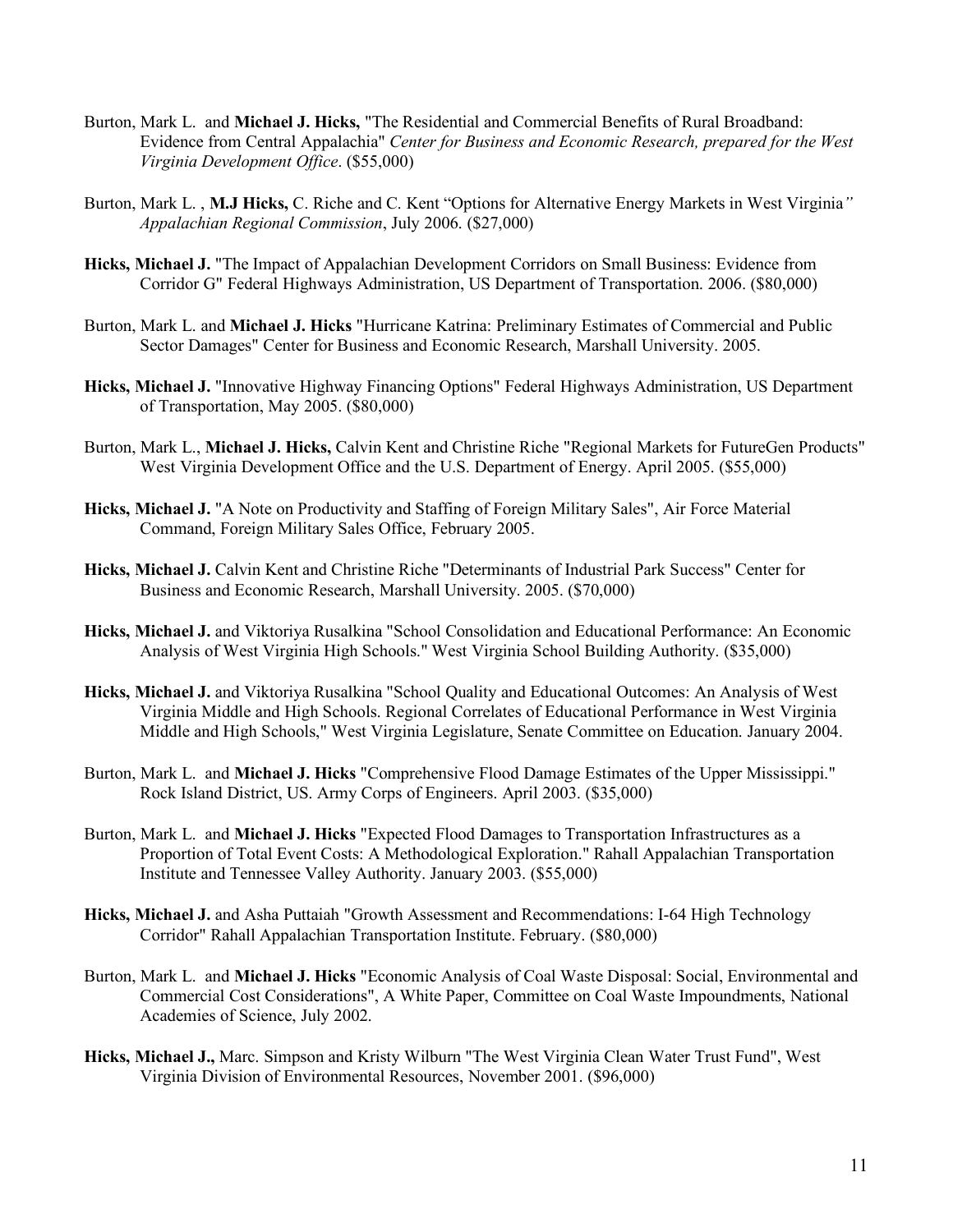- Burton, Mark L. and **Michael J. Hicks,** "The Residential and Commercial Benefits of Rural Broadband: Evidence from Central Appalachia" *Center for Business and Economic Research, prepared for the West Virginia Development Office*. (\$55,000)
- Burton, Mark L. , **M.J Hicks,** C. Riche and C. Kent "Options for Alternative Energy Markets in West Virginia*" Appalachian Regional Commission*, July 2006. (\$27,000)
- **Hicks, Michael J.** "The Impact of Appalachian Development Corridors on Small Business: Evidence from Corridor G" Federal Highways Administration, US Department of Transportation. 2006. (\$80,000)
- Burton, Mark L. and **Michael J. Hicks** "Hurricane Katrina: Preliminary Estimates of Commercial and Public Sector Damages" Center for Business and Economic Research, Marshall University. 2005.
- **Hicks, Michael J.** "Innovative Highway Financing Options" Federal Highways Administration, US Department of Transportation, May 2005. (\$80,000)
- Burton, Mark L., **Michael J. Hicks,** Calvin Kent and Christine Riche "Regional Markets for FutureGen Products" West Virginia Development Office and the U.S. Department of Energy. April 2005. (\$55,000)
- **Hicks, Michael J.** "A Note on Productivity and Staffing of Foreign Military Sales", Air Force Material Command, Foreign Military Sales Office, February 2005.
- **Hicks, Michael J.** Calvin Kent and Christine Riche "Determinants of Industrial Park Success" Center for Business and Economic Research, Marshall University. 2005. (\$70,000)
- **Hicks, Michael J.** and Viktoriya Rusalkina "School Consolidation and Educational Performance: An Economic Analysis of West Virginia High Schools." West Virginia School Building Authority. (\$35,000)
- **Hicks, Michael J.** and Viktoriya Rusalkina "School Quality and Educational Outcomes: An Analysis of West Virginia Middle and High Schools. Regional Correlates of Educational Performance in West Virginia Middle and High Schools," West Virginia Legislature, Senate Committee on Education. January 2004.
- Burton, Mark L. and **Michael J. Hicks** "Comprehensive Flood Damage Estimates of the Upper Mississippi." Rock Island District, US. Army Corps of Engineers. April 2003. (\$35,000)
- Burton, Mark L. and **Michael J. Hicks** "Expected Flood Damages to Transportation Infrastructures as a Proportion of Total Event Costs: A Methodological Exploration." Rahall Appalachian Transportation Institute and Tennessee Valley Authority. January 2003. (\$55,000)
- **Hicks, Michael J.** and Asha Puttaiah "Growth Assessment and Recommendations: I-64 High Technology Corridor" Rahall Appalachian Transportation Institute. February. (\$80,000)
- Burton, Mark L. and **Michael J. Hicks** "Economic Analysis of Coal Waste Disposal: Social, Environmental and Commercial Cost Considerations", A White Paper, Committee on Coal Waste Impoundments, National Academies of Science, July 2002.
- **Hicks, Michael J.,** Marc. Simpson and Kristy Wilburn "The West Virginia Clean Water Trust Fund", West Virginia Division of Environmental Resources, November 2001. (\$96,000)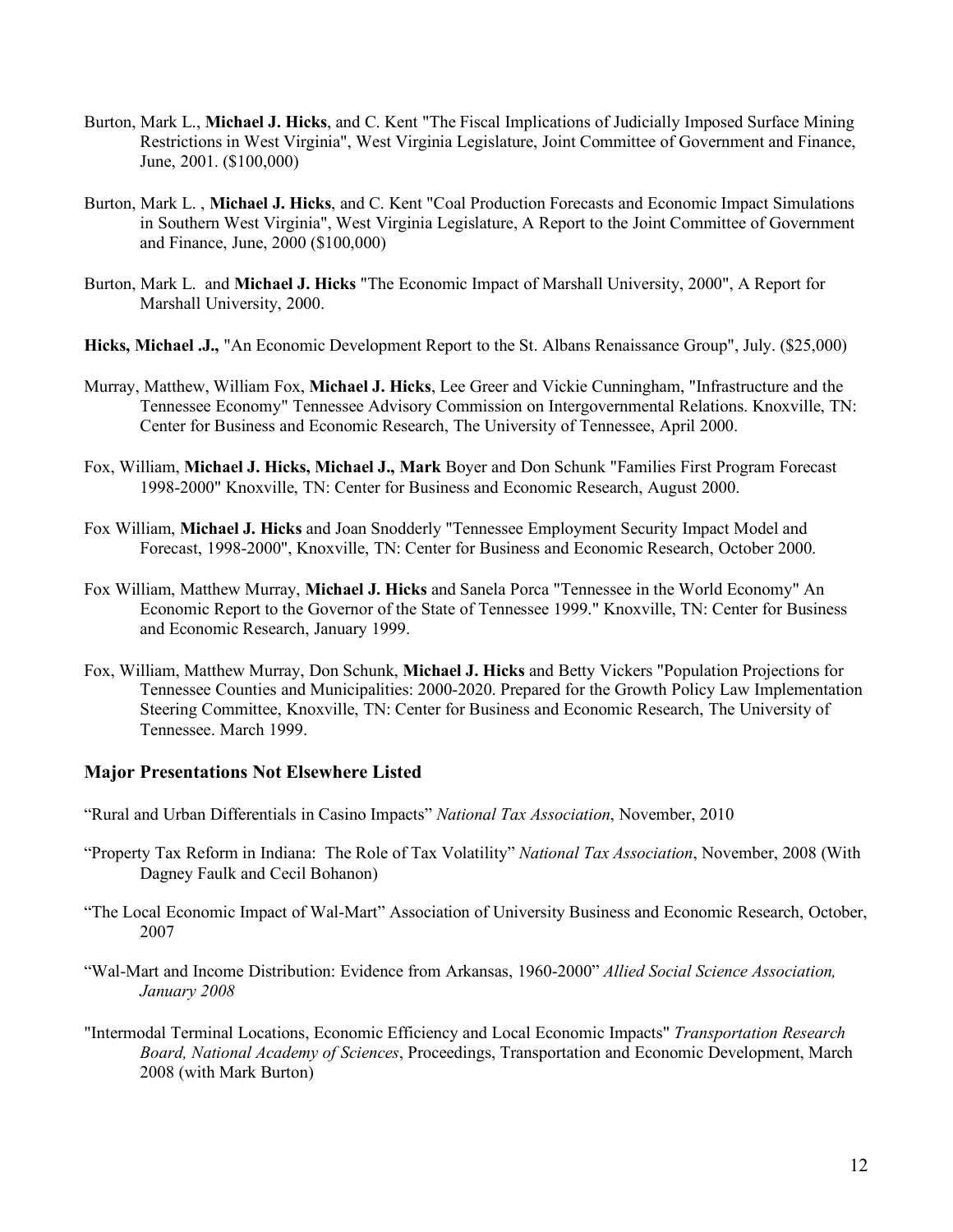- Burton, Mark L., **Michael J. Hicks**, and C. Kent "The Fiscal Implications of Judicially Imposed Surface Mining Restrictions in West Virginia", West Virginia Legislature, Joint Committee of Government and Finance, June, 2001. (\$100,000)
- Burton, Mark L. , **Michael J. Hicks**, and C. Kent "Coal Production Forecasts and Economic Impact Simulations in Southern West Virginia", West Virginia Legislature, A Report to the Joint Committee of Government and Finance, June, 2000 (\$100,000)
- Burton, Mark L. and **Michael J. Hicks** "The Economic Impact of Marshall University, 2000", A Report for Marshall University, 2000.
- **Hicks, Michael .J.,** "An Economic Development Report to the St. Albans Renaissance Group", July. (\$25,000)
- Murray, Matthew, William Fox, **Michael J. Hicks**, Lee Greer and Vickie Cunningham, "Infrastructure and the Tennessee Economy" Tennessee Advisory Commission on Intergovernmental Relations. Knoxville, TN: Center for Business and Economic Research, The University of Tennessee, April 2000.
- Fox, William, **Michael J. Hicks, Michael J., Mark** Boyer and Don Schunk "Families First Program Forecast 1998-2000" Knoxville, TN: Center for Business and Economic Research, August 2000.
- Fox William, **Michael J. Hicks** and Joan Snodderly "Tennessee Employment Security Impact Model and Forecast, 1998-2000", Knoxville, TN: Center for Business and Economic Research, October 2000.
- Fox William, Matthew Murray, **Michael J. Hicks** and Sanela Porca "Tennessee in the World Economy" An Economic Report to the Governor of the State of Tennessee 1999." Knoxville, TN: Center for Business and Economic Research, January 1999.
- Fox, William, Matthew Murray, Don Schunk, **Michael J. Hicks** and Betty Vickers "Population Projections for Tennessee Counties and Municipalities: 2000-2020. Prepared for the Growth Policy Law Implementation Steering Committee, Knoxville, TN: Center for Business and Economic Research, The University of Tennessee. March 1999.

#### **Major Presentations Not Elsewhere Listed**

- "Rural and Urban Differentials in Casino Impacts" *National Tax Association*, November, 2010
- "Property Tax Reform in Indiana: The Role of Tax Volatility" *National Tax Association*, November, 2008 (With Dagney Faulk and Cecil Bohanon)
- "The Local Economic Impact of Wal-Mart" Association of University Business and Economic Research, October, 2007
- "Wal-Mart and Income Distribution: Evidence from Arkansas, 1960-2000" *Allied Social Science Association, January 2008*
- "Intermodal Terminal Locations, Economic Efficiency and Local Economic Impacts" *Transportation Research Board, National Academy of Sciences*, Proceedings, Transportation and Economic Development, March 2008 (with Mark Burton)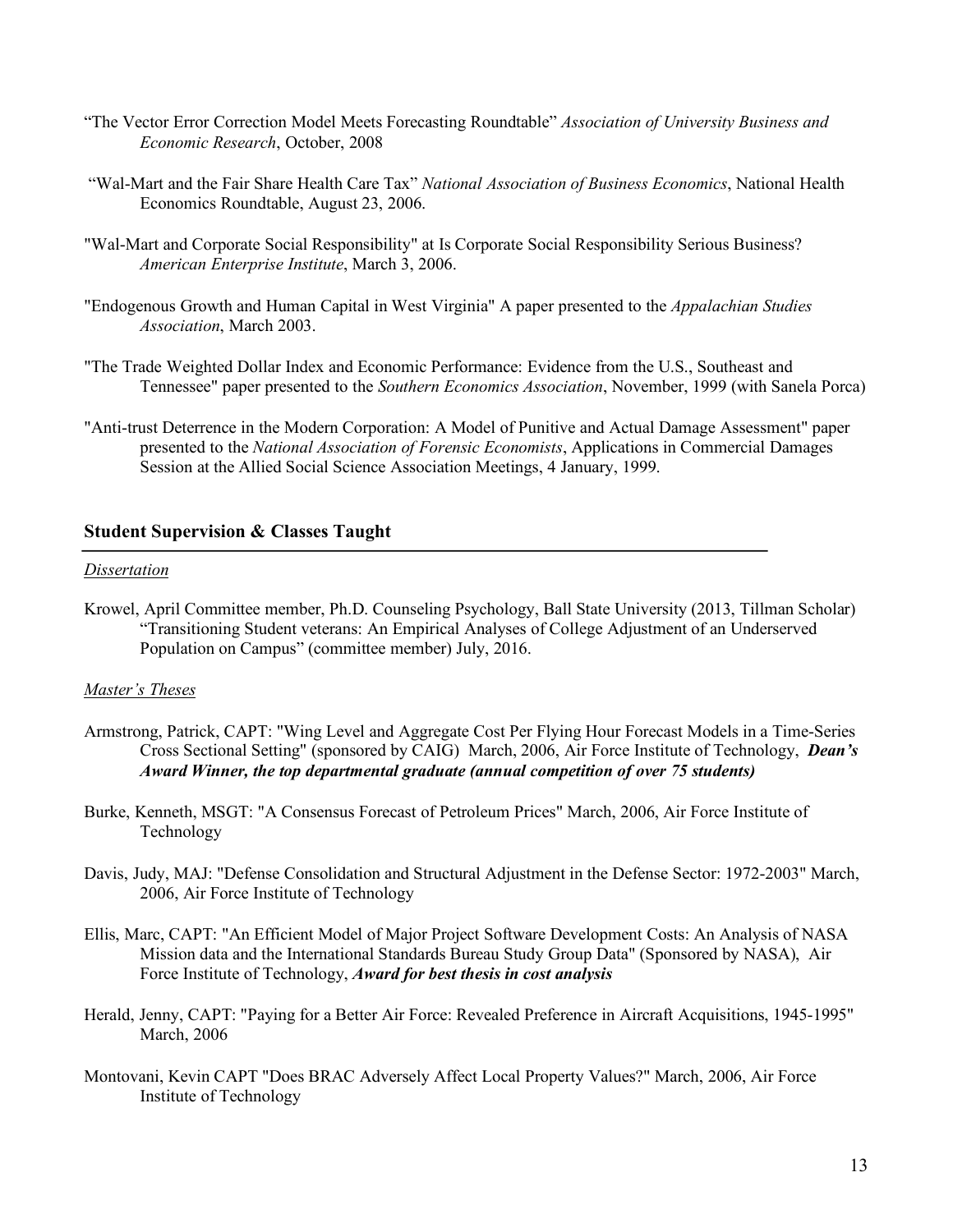- "The Vector Error Correction Model Meets Forecasting Roundtable" *Association of University Business and Economic Research*, October, 2008
- "Wal-Mart and the Fair Share Health Care Tax" *National Association of Business Economics*, National Health Economics Roundtable, August 23, 2006.
- "Wal-Mart and Corporate Social Responsibility" at Is Corporate Social Responsibility Serious Business? *American Enterprise Institute*, March 3, 2006.
- "Endogenous Growth and Human Capital in West Virginia" A paper presented to the *Appalachian Studies Association*, March 2003.
- "The Trade Weighted Dollar Index and Economic Performance: Evidence from the U.S., Southeast and Tennessee" paper presented to the *Southern Economics Association*, November, 1999 (with Sanela Porca)
- "Anti-trust Deterrence in the Modern Corporation: A Model of Punitive and Actual Damage Assessment" paper presented to the *National Association of Forensic Economists*, Applications in Commercial Damages Session at the Allied Social Science Association Meetings, 4 January, 1999.

#### **Student Supervision & Classes Taught**

#### *Dissertation*

Krowel, April Committee member, Ph.D. Counseling Psychology, Ball State University (2013, Tillman Scholar) "Transitioning Student veterans: An Empirical Analyses of College Adjustment of an Underserved Population on Campus" (committee member) July, 2016.

#### *Master's Theses*

- Armstrong, Patrick, CAPT: "Wing Level and Aggregate Cost Per Flying Hour Forecast Models in a Time-Series Cross Sectional Setting" (sponsored by CAIG) March, 2006, Air Force Institute of Technology, *Dean's Award Winner, the top departmental graduate (annual competition of over 75 students)*
- Burke, Kenneth, MSGT: "A Consensus Forecast of Petroleum Prices" March, 2006, Air Force Institute of Technology
- Davis, Judy, MAJ: "Defense Consolidation and Structural Adjustment in the Defense Sector: 1972-2003" March, 2006, Air Force Institute of Technology
- Ellis, Marc, CAPT: "An Efficient Model of Major Project Software Development Costs: An Analysis of NASA Mission data and the International Standards Bureau Study Group Data" (Sponsored by NASA), Air Force Institute of Technology, *Award for best thesis in cost analysis*
- Herald, Jenny, CAPT: "Paying for a Better Air Force: Revealed Preference in Aircraft Acquisitions, 1945-1995" March, 2006
- Montovani, Kevin CAPT "Does BRAC Adversely Affect Local Property Values?" March, 2006, Air Force Institute of Technology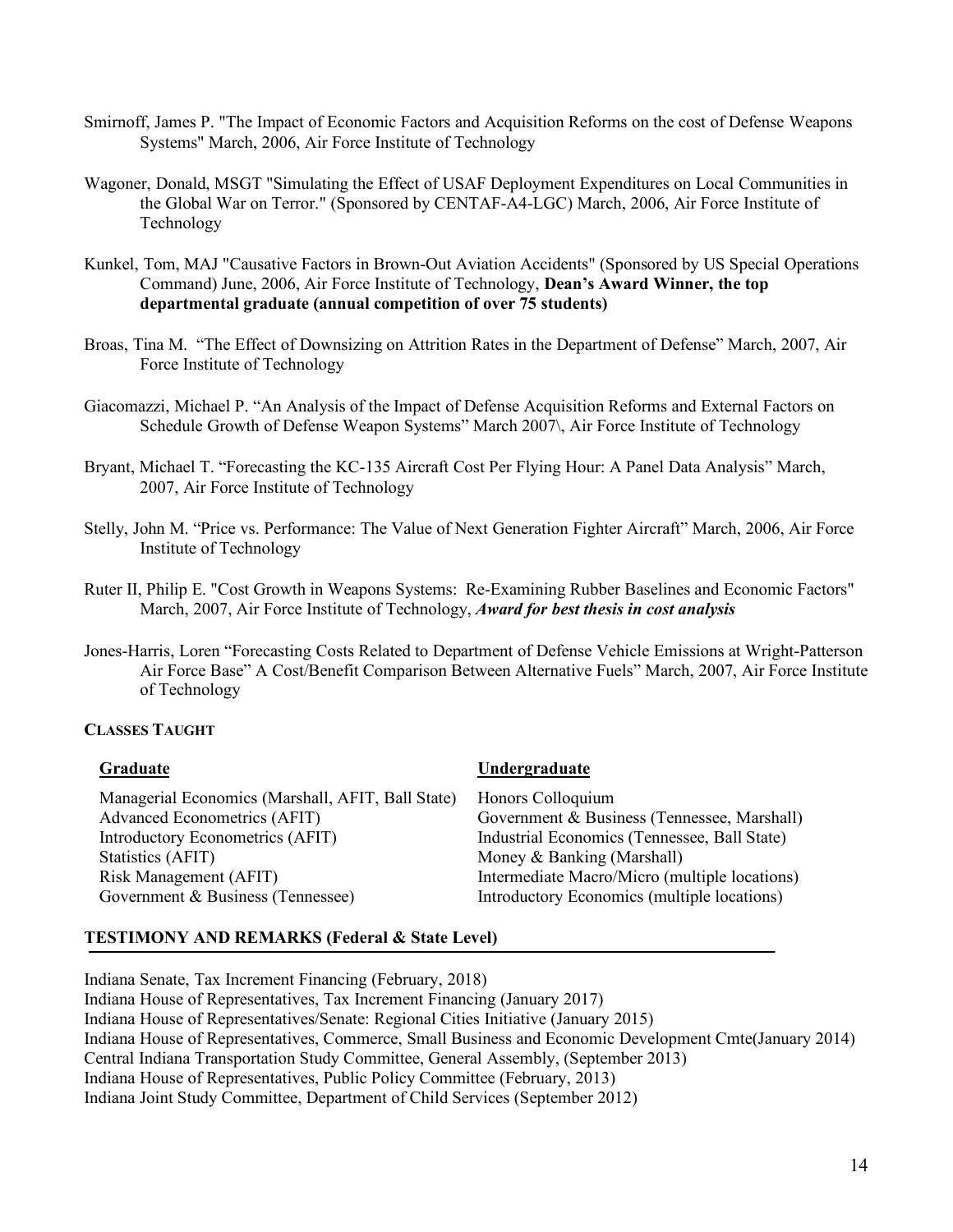- Smirnoff, James P. "The Impact of Economic Factors and Acquisition Reforms on the cost of Defense Weapons Systems" March, 2006, Air Force Institute of Technology
- Wagoner, Donald, MSGT "Simulating the Effect of USAF Deployment Expenditures on Local Communities in the Global War on Terror." (Sponsored by CENTAF-A4-LGC) March, 2006, Air Force Institute of Technology
- Kunkel, Tom, MAJ "Causative Factors in Brown-Out Aviation Accidents" (Sponsored by US Special Operations Command) June, 2006, Air Force Institute of Technology, **Dean's Award Winner, the top departmental graduate (annual competition of over 75 students)**
- Broas, Tina M. "The Effect of Downsizing on Attrition Rates in the Department of Defense" March, 2007, Air Force Institute of Technology
- Giacomazzi, Michael P. "An Analysis of the Impact of Defense Acquisition Reforms and External Factors on Schedule Growth of Defense Weapon Systems" March 2007\, Air Force Institute of Technology
- Bryant, Michael T. "Forecasting the KC-135 Aircraft Cost Per Flying Hour: A Panel Data Analysis" March, 2007, Air Force Institute of Technology
- Stelly, John M. "Price vs. Performance: The Value of Next Generation Fighter Aircraft" March, 2006, Air Force Institute of Technology
- Ruter II, Philip E. "Cost Growth in Weapons Systems: Re-Examining Rubber Baselines and Economic Factors" March, 2007, Air Force Institute of Technology, *Award for best thesis in cost analysis*
- Jones-Harris, Loren "Forecasting Costs Related to Department of Defense Vehicle Emissions at Wright-Patterson Air Force Base" A Cost/Benefit Comparison Between Alternative Fuels" March, 2007, Air Force Institute of Technology

#### **CLASSES TAUGHT**

| Graduate                                                                                                                                                                                                         | Undergraduate                                                                                                                                                                                                                                  |
|------------------------------------------------------------------------------------------------------------------------------------------------------------------------------------------------------------------|------------------------------------------------------------------------------------------------------------------------------------------------------------------------------------------------------------------------------------------------|
| Managerial Economics (Marshall, AFIT, Ball State)<br><b>Advanced Econometrics (AFIT)</b><br>Introductory Econometrics (AFIT)<br>Statistics (AFIT)<br>Risk Management (AFIT)<br>Government & Business (Tennessee) | Honors Colloquium<br>Government & Business (Tennessee, Marshall)<br>Industrial Economics (Tennessee, Ball State)<br>Money & Banking (Marshall)<br>Intermediate Macro/Micro (multiple locations)<br>Introductory Economics (multiple locations) |
|                                                                                                                                                                                                                  |                                                                                                                                                                                                                                                |

# **TESTIMONY AND REMARKS (Federal & State Level)**

Indiana Senate, Tax Increment Financing (February, 2018) Indiana House of Representatives, Tax Increment Financing (January 2017) Indiana House of Representatives/Senate: Regional Cities Initiative (January 2015) Indiana House of Representatives, Commerce, Small Business and Economic Development Cmte(January 2014) Central Indiana Transportation Study Committee, General Assembly, (September 2013) Indiana House of Representatives, Public Policy Committee (February, 2013) Indiana Joint Study Committee, Department of Child Services (September 2012)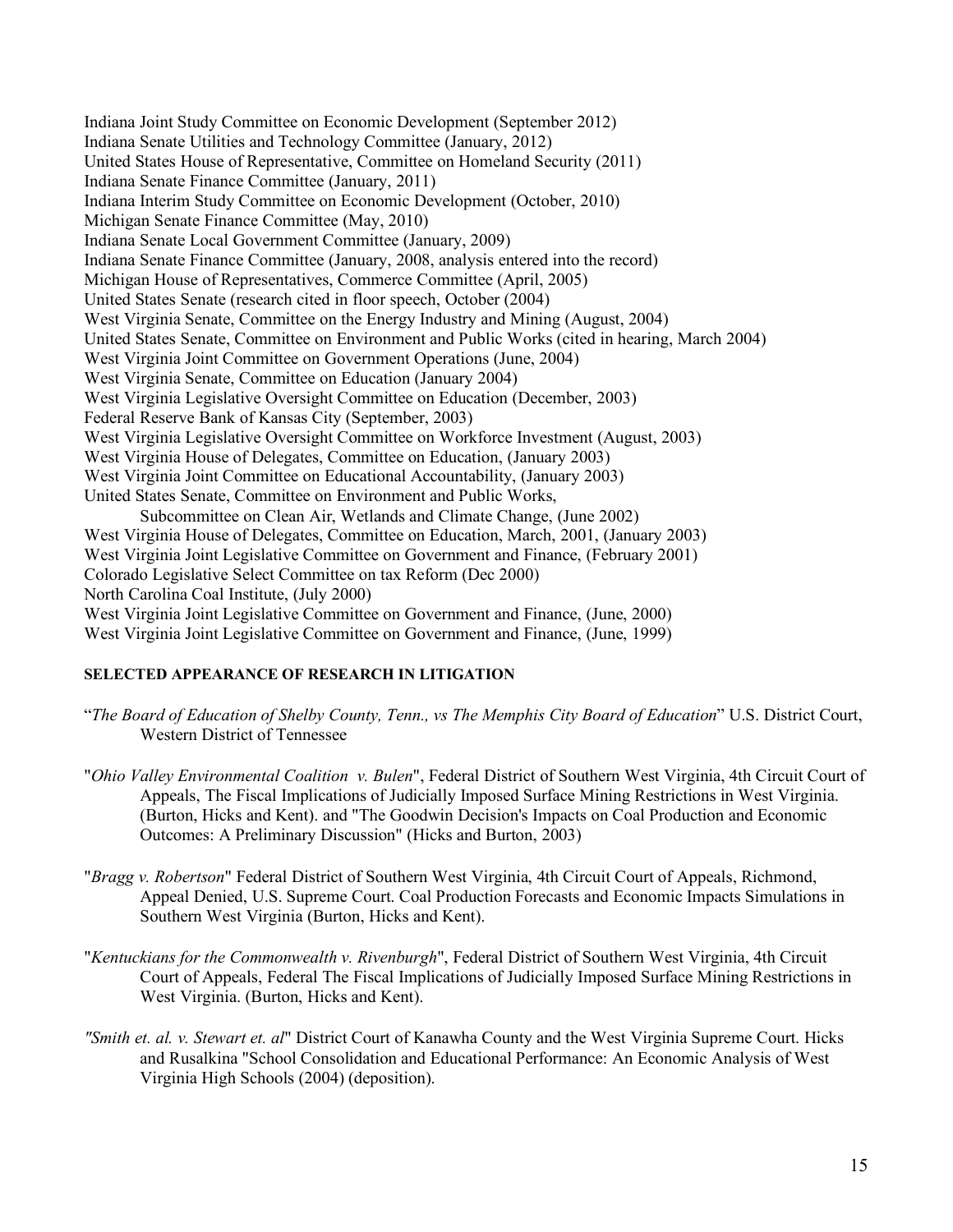Indiana Joint Study Committee on Economic Development (September 2012) Indiana Senate Utilities and Technology Committee (January, 2012) United States House of Representative, Committee on Homeland Security (2011) Indiana Senate Finance Committee (January, 2011) Indiana Interim Study Committee on Economic Development (October, 2010) Michigan Senate Finance Committee (May, 2010) Indiana Senate Local Government Committee (January, 2009) Indiana Senate Finance Committee (January, 2008, analysis entered into the record) Michigan House of Representatives, Commerce Committee (April, 2005) United States Senate (research cited in floor speech, October (2004) West Virginia Senate, Committee on the Energy Industry and Mining (August, 2004) United States Senate, Committee on Environment and Public Works (cited in hearing, March 2004) West Virginia Joint Committee on Government Operations (June, 2004) West Virginia Senate, Committee on Education (January 2004) West Virginia Legislative Oversight Committee on Education (December, 2003) Federal Reserve Bank of Kansas City (September, 2003) West Virginia Legislative Oversight Committee on Workforce Investment (August, 2003) West Virginia House of Delegates, Committee on Education, (January 2003) West Virginia Joint Committee on Educational Accountability, (January 2003) United States Senate, Committee on Environment and Public Works, Subcommittee on Clean Air, Wetlands and Climate Change, (June 2002) West Virginia House of Delegates, Committee on Education, March, 2001, (January 2003) West Virginia Joint Legislative Committee on Government and Finance, (February 2001) Colorado Legislative Select Committee on tax Reform (Dec 2000) North Carolina Coal Institute, (July 2000) West Virginia Joint Legislative Committee on Government and Finance, (June, 2000) West Virginia Joint Legislative Committee on Government and Finance, (June, 1999)

# **SELECTED APPEARANCE OF RESEARCH IN LITIGATION**

- "*The Board of Education of Shelby County, Tenn., vs The Memphis City Board of Education*" U.S. District Court, Western District of Tennessee
- "*Ohio Valley Environmental Coalition v. Bulen*", Federal District of Southern West Virginia, 4th Circuit Court of Appeals, The Fiscal Implications of Judicially Imposed Surface Mining Restrictions in West Virginia. (Burton, Hicks and Kent). and "The Goodwin Decision's Impacts on Coal Production and Economic Outcomes: A Preliminary Discussion" (Hicks and Burton, 2003)
- "*Bragg v. Robertson*" Federal District of Southern West Virginia, 4th Circuit Court of Appeals, Richmond, Appeal Denied, U.S. Supreme Court. Coal Production Forecasts and Economic Impacts Simulations in Southern West Virginia (Burton, Hicks and Kent).
- "*Kentuckians for the Commonwealth v. Rivenburgh*", Federal District of Southern West Virginia, 4th Circuit Court of Appeals, Federal The Fiscal Implications of Judicially Imposed Surface Mining Restrictions in West Virginia. (Burton, Hicks and Kent).
- *"Smith et. al. v. Stewart et. al*" District Court of Kanawha County and the West Virginia Supreme Court. Hicks and Rusalkina "School Consolidation and Educational Performance: An Economic Analysis of West Virginia High Schools (2004) (deposition).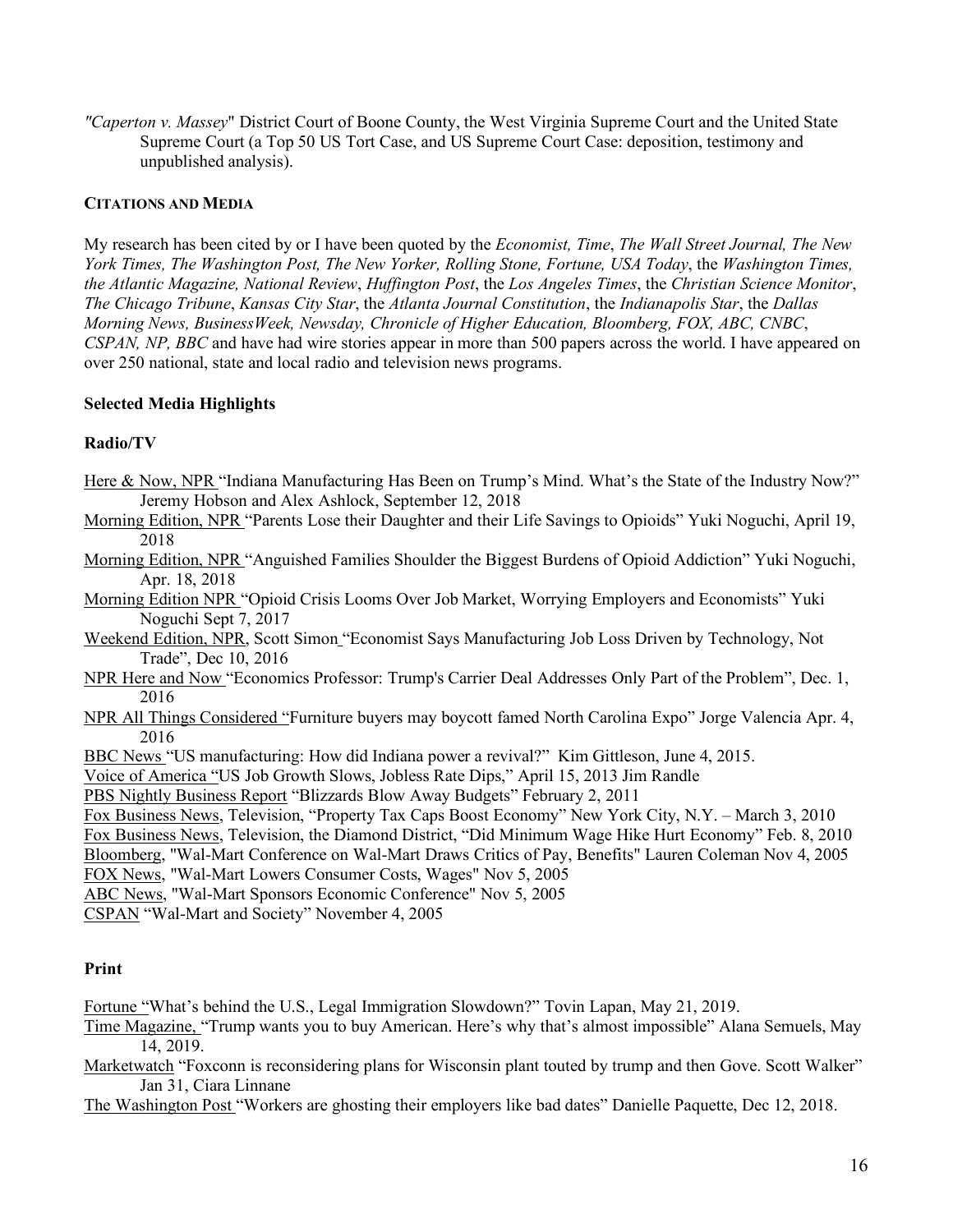*"Caperton v. Massey*" District Court of Boone County, the West Virginia Supreme Court and the United State Supreme Court (a Top 50 US Tort Case, and US Supreme Court Case: deposition, testimony and unpublished analysis).

#### **CITATIONS AND MEDIA**

My research has been cited by or I have been quoted by the *Economist, Time*, *The Wall Street Journal, The New York Times, The Washington Post, The New Yorker, Rolling Stone, Fortune, USA Today*, the *Washington Times, the Atlantic Magazine, National Review*, *Huffington Post*, the *Los Angeles Times*, the *Christian Science Monitor*, *The Chicago Tribune*, *Kansas City Star*, the *Atlanta Journal Constitution*, the *Indianapolis Star*, the *Dallas Morning News, BusinessWeek, Newsday, Chronicle of Higher Education, Bloomberg, FOX, ABC, CNBC*, *CSPAN, NP, BBC* and have had wire stories appear in more than 500 papers across the world. I have appeared on over 250 national, state and local radio and television news programs.

#### **Selected Media Highlights**

#### **Radio/TV**

- Here & Now, NPR "Indiana Manufacturing Has Been on Trump's Mind. What's the State of the Industry Now?" Jeremy Hobson and Alex Ashlock, September 12, 2018
- Morning Edition, NPR "Parents Lose their Daughter and their Life Savings to Opioids" Yuki Noguchi, April 19, 2018
- Morning Edition, NPR "Anguished Families Shoulder the Biggest Burdens of Opioid Addiction" Yuki Noguchi, Apr. 18, 2018
- Morning Edition NPR "Opioid Crisis Looms Over Job Market, Worrying Employers and Economists" Yuki Noguchi Sept 7, 2017
- Weekend Edition, NPR, Scott Simon "Economist Says Manufacturing Job Loss Driven by Technology, Not Trade", Dec 10, 2016
- NPR Here and Now "Economics Professor: Trump's Carrier Deal Addresses Only Part of the Problem", Dec. 1, 2016
- NPR All Things Considered "Furniture buyers may boycott famed North Carolina Expo" Jorge Valencia Apr. 4, 2016
- BBC News "US manufacturing: How did Indiana power a revival?" Kim Gittleson, June 4, 2015.
- Voice of America "US Job Growth Slows, Jobless Rate Dips," April 15, 2013 Jim Randle

PBS Nightly Business Report "Blizzards Blow Away Budgets" February 2, 2011

- Fox Business News, Television, "Property Tax Caps Boost Economy" New York City, N.Y. March 3, 2010 Fox Business News, Television, the Diamond District, "Did Minimum Wage Hike Hurt Economy" Feb. 8, 2010 Bloomberg, "Wal-Mart Conference on Wal-Mart Draws Critics of Pay, Benefits" Lauren Coleman Nov 4, 2005 FOX News, "Wal-Mart Lowers Consumer Costs, Wages" Nov 5, 2005
- ABC News, "Wal-Mart Sponsors Economic Conference" Nov 5, 2005
- 

CSPAN "Wal-Mart and Society" November 4, 2005

#### **Print**

Fortune "What's behind the U.S., Legal Immigration Slowdown?" Tovin Lapan, May 21, 2019.

- Time Magazine, "Trump wants you to buy American. Here's why that's almost impossible" Alana Semuels, May 14, 2019.
- Marketwatch "Foxconn is reconsidering plans for Wisconsin plant touted by trump and then Gove. Scott Walker" Jan 31, Ciara Linnane
- The Washington Post "Workers are ghosting their employers like bad dates" Danielle Paquette, Dec 12, 2018.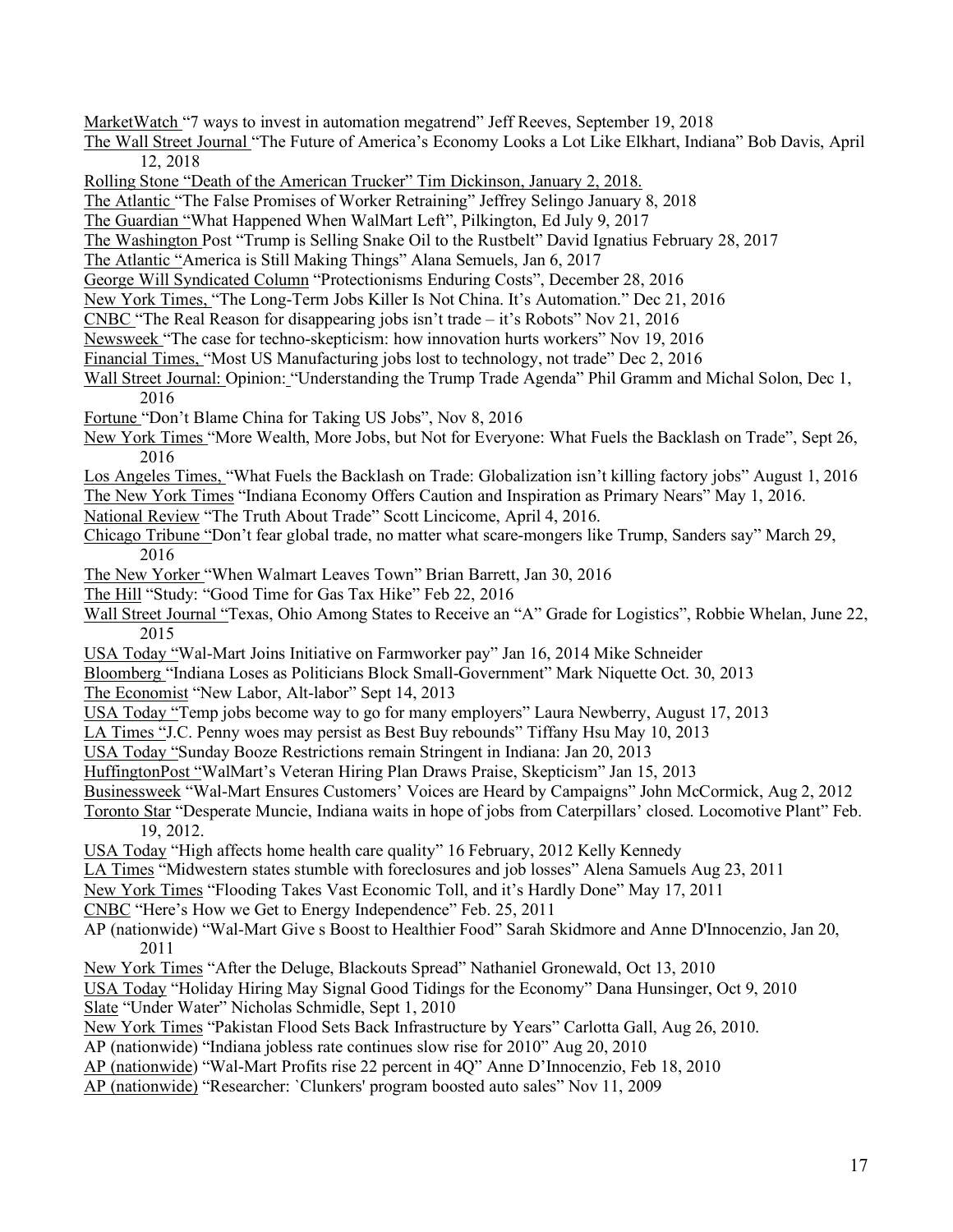MarketWatch "7 ways to invest in automation megatrend" Jeff Reeves, September 19, 2018

The Wall Street Journal "The Future of America's Economy Looks a Lot Like Elkhart, Indiana" Bob Davis, April 12, 2018

Rolling Stone "Death of the American Trucker" Tim Dickinson, January 2, 2018.

The Atlantic "The False Promises of Worker Retraining" Jeffrey Selingo January 8, 2018

The Guardian "What Happened When WalMart Left", Pilkington, Ed July 9, 2017

The Washington Post "Trump is Selling Snake Oil to the Rustbelt" David Ignatius February 28, 2017

The Atlantic "America is Still Making Things" Alana Semuels, Jan 6, 2017

George Will Syndicated Column "Protectionisms Enduring Costs", December 28, 2016

New York Times, "The Long-Term Jobs Killer Is Not China. It's Automation." Dec 21, 2016

CNBC "The Real Reason for disappearing jobs isn't trade – it's Robots" Nov 21, 2016

Newsweek "The case for techno-skepticism: how innovation hurts workers" Nov 19, 2016

Financial Times, "Most US Manufacturing jobs lost to technology, not trade" Dec 2, 2016

Wall Street Journal: Opinion: "Understanding the Trump Trade Agenda" Phil Gramm and Michal Solon, Dec 1, 2016

Fortune "Don't Blame China for Taking US Jobs", Nov 8, 2016

New York Times "More Wealth, More Jobs, but Not for Everyone: What Fuels the Backlash on Trade", Sept 26, 2016

Los Angeles Times, "What Fuels the Backlash on Trade: Globalization isn't killing factory jobs" August 1, 2016 The New York Times "Indiana Economy Offers Caution and Inspiration as Primary Nears" May 1, 2016.

National Review "The Truth About Trade" Scott Lincicome, April 4, 2016.

Chicago Tribune "Don't fear global trade, no matter what scare-mongers like Trump, Sanders say" March 29, 2016

The New Yorker "When Walmart Leaves Town" Brian Barrett, Jan 30, 2016

The Hill "Study: "Good Time for Gas Tax Hike" Feb 22, 2016

Wall Street Journal "Texas, Ohio Among States to Receive an "A" Grade for Logistics", Robbie Whelan, June 22, 2015

USA Today "Wal-Mart Joins Initiative on Farmworker pay" Jan 16, 2014 Mike Schneider

Bloomberg "Indiana Loses as Politicians Block Small-Government" Mark Niquette Oct. 30, 2013

The Economist "New Labor, Alt-labor" Sept 14, 2013

USA Today "Temp jobs become way to go for many employers" Laura Newberry, August 17, 2013

LA Times "J.C. Penny woes may persist as Best Buy rebounds" Tiffany Hsu May 10, 2013

USA Today "Sunday Booze Restrictions remain Stringent in Indiana: Jan 20, 2013

HuffingtonPost "WalMart's Veteran Hiring Plan Draws Praise, Skepticism" Jan 15, 2013

Businessweek "Wal-Mart Ensures Customers' Voices are Heard by Campaigns" John McCormick, Aug 2, 2012

Toronto Star "Desperate Muncie, Indiana waits in hope of jobs from Caterpillars' closed. Locomotive Plant" Feb. 19, 2012.

USA Today "High affects home health care quality" 16 February, 2012 Kelly Kennedy

LA Times "Midwestern states stumble with foreclosures and job losses" Alena Samuels Aug 23, 2011

New York Times "Flooding Takes Vast Economic Toll, and it's Hardly Done" May 17, 2011

CNBC "Here's How we Get to Energy Independence" Feb. 25, 2011

AP (nationwide) "Wal-Mart Give s Boost to Healthier Food" Sarah Skidmore and Anne D'Innocenzio, Jan 20, 2011

New York Times "After the Deluge, Blackouts Spread" Nathaniel Gronewald, Oct 13, 2010

USA Today "Holiday Hiring May Signal Good Tidings for the Economy" Dana Hunsinger, Oct 9, 2010 Slate "Under Water" Nicholas Schmidle, Sept 1, 2010

New York Times "Pakistan Flood Sets Back Infrastructure by Years" Carlotta Gall, Aug 26, 2010.

AP (nationwide) "Indiana jobless rate continues slow rise for 2010" Aug 20, 2010

AP (nationwide) "Wal-Mart Profits rise 22 percent in 4Q" Anne D'Innocenzio, Feb 18, 2010

AP (nationwide) "Researcher: `Clunkers' program boosted auto sales" Nov 11, 2009